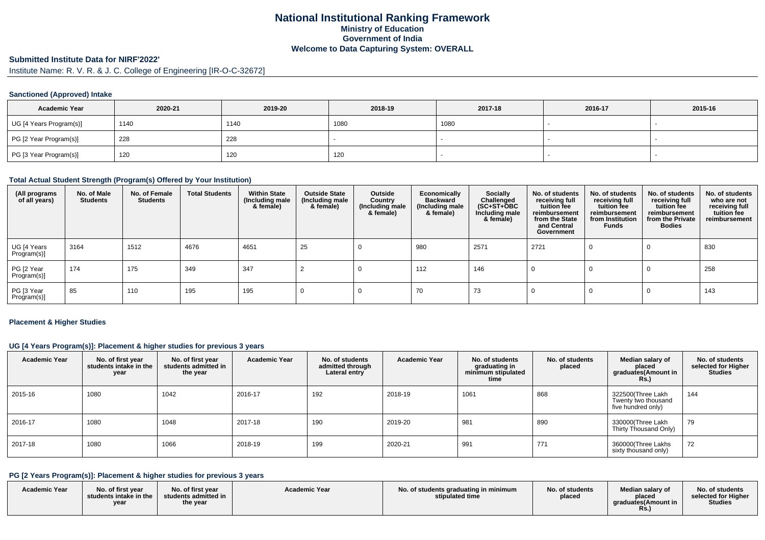# **National Institutional Ranking FrameworkMinistry of Education Government of IndiaWelcome to Data Capturing System: OVERALL**

# **Submitted Institute Data for NIRF'2022'**

Institute Name: R. V. R. & J. C. College of Engineering [IR-O-C-32672]

#### **Sanctioned (Approved) Intake**

| <b>Academic Year</b>    | 2020-21 | 2019-20 | 2018-19 | 2017-18 | 2016-17 | 2015-16 |
|-------------------------|---------|---------|---------|---------|---------|---------|
| UG [4 Years Program(s)] | 1140    | 1140    | 1080    | 1080    |         |         |
| PG [2 Year Program(s)]  | 228     | 228     |         |         |         |         |
| PG [3 Year Program(s)]  | 120     | 120     | 120     |         |         |         |

#### **Total Actual Student Strength (Program(s) Offered by Your Institution)**

| (All programs<br>of all years) | No. of Male<br><b>Students</b> | No. of Female<br><b>Students</b> | <b>Total Students</b> | <b>Within State</b><br>(Including male<br>& female) | <b>Outside State</b><br>(Including male<br>& female) | Outside<br>Country<br>(Including male<br>& female) | Economically<br><b>Backward</b><br>(Including male<br>& female) | Socially<br>Challenged<br>$(SC+ST+\text{O}BC)$<br>Including male<br>& female) | No. of students<br>receiving full<br>tuition fee<br>reimbursement<br>from the State<br>and Central<br>Government | No. of students<br>receiving full<br>tuition fee<br>reimbursement<br>from Institution<br><b>Funds</b> | No. of students<br>receiving full<br>tuition fee<br>reimbursement<br>from the Private<br><b>Bodies</b> | No. of students<br>who are not<br>receiving full<br>tuition fee<br>reimbursement |
|--------------------------------|--------------------------------|----------------------------------|-----------------------|-----------------------------------------------------|------------------------------------------------------|----------------------------------------------------|-----------------------------------------------------------------|-------------------------------------------------------------------------------|------------------------------------------------------------------------------------------------------------------|-------------------------------------------------------------------------------------------------------|--------------------------------------------------------------------------------------------------------|----------------------------------------------------------------------------------|
| UG [4 Years<br>Program(s)]     | 3164                           | 1512                             | 4676                  | 4651                                                | 25                                                   |                                                    | 980                                                             | 2571                                                                          | 2721                                                                                                             |                                                                                                       |                                                                                                        | 830                                                                              |
| PG [2 Year<br>Program(s)]      | 174                            | 175                              | 349                   | 347                                                 |                                                      |                                                    | 112                                                             | 146                                                                           |                                                                                                                  |                                                                                                       |                                                                                                        | 258                                                                              |
| PG [3 Year<br>Program(s)]      | 85                             | 110                              | 195                   | 195                                                 |                                                      |                                                    | 70                                                              | 73                                                                            |                                                                                                                  |                                                                                                       |                                                                                                        | 143                                                                              |

#### **Placement & Higher Studies**

### **UG [4 Years Program(s)]: Placement & higher studies for previous 3 years**

| <b>Academic Year</b> | No. of first year<br>students intake in the<br>year | No. of first year<br>students admitted in<br>the year | <b>Academic Year</b> | No. of students<br>admitted through<br>Lateral entry | <b>Academic Year</b> | No. of students<br>graduating in<br>minimum stipulated<br>time | No. of students<br>placed | Median salary of<br>placed<br>graduates(Amount in<br>R <sub>S</sub> | No. of students<br>selected for Higher<br><b>Studies</b> |
|----------------------|-----------------------------------------------------|-------------------------------------------------------|----------------------|------------------------------------------------------|----------------------|----------------------------------------------------------------|---------------------------|---------------------------------------------------------------------|----------------------------------------------------------|
| 2015-16              | 1080                                                | 1042                                                  | 2016-17              | 192                                                  | 2018-19              | 1061                                                           | 868                       | 322500(Three Lakh<br>Twenty two thousand<br>five hundred only)      | 144                                                      |
| 2016-17              | 1080                                                | 1048                                                  | 2017-18              | 190                                                  | 2019-20              | 981                                                            | 890                       | 330000(Three Lakh<br>Thirty Thousand Only)                          | 79                                                       |
| 2017-18              | 1080                                                | 1066                                                  | 2018-19              | 199                                                  | 2020-21              | 991                                                            | 771                       | 360000(Three Lakhs<br>sixty thousand only)                          | 72                                                       |

# **PG [2 Years Program(s)]: Placement & higher studies for previous 3 years**

| <b>Academic Year</b> | No. of first year<br>students intake in the<br>year | No. of first year<br>students admitted in<br>the year | <b>Academic Year</b> | No. of students graduating in minimum<br>stipulated time | No. of students<br>placed | Median salarv of<br>placed<br>araduates(Amount in<br><b>Rs.</b> ) | No. of students<br>selected for Higher<br><b>Studies</b> |
|----------------------|-----------------------------------------------------|-------------------------------------------------------|----------------------|----------------------------------------------------------|---------------------------|-------------------------------------------------------------------|----------------------------------------------------------|
|----------------------|-----------------------------------------------------|-------------------------------------------------------|----------------------|----------------------------------------------------------|---------------------------|-------------------------------------------------------------------|----------------------------------------------------------|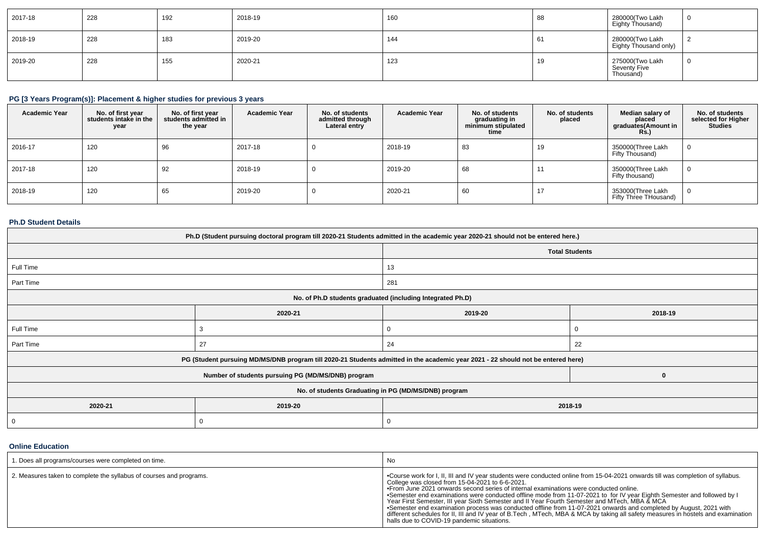| 2017-18 | 228 | 192 | 2018-19 | 160 | 88  | 280000 Two Lakh<br>Eighty Thousand)          |  |
|---------|-----|-----|---------|-----|-----|----------------------------------------------|--|
| 2018-19 | 228 | 183 | 2019-20 | 144 | -61 | 280000(Two Lakh<br>Eighty Thousand only)     |  |
| 2019-20 | 228 | 155 | 2020-21 | 123 | 19  | 275000(Two Lakh<br>Seventỳ Five<br>Thousand) |  |

# **PG [3 Years Program(s)]: Placement & higher studies for previous 3 years**

| <b>Academic Year</b> | No. of first year<br>students intake in the<br>year | No. of first year<br>students admitted in<br>the year | <b>Academic Year</b> | No. of students<br>admitted through<br>Lateral entry | <b>Academic Year</b> | No. of students<br>graduating in<br>minimum stipulated<br>time | No. of students<br>placed | Median salary of<br>placed<br>graduates(Amount in<br><b>Rs.</b> ) | No. of students<br>selected for Higher<br><b>Studies</b> |
|----------------------|-----------------------------------------------------|-------------------------------------------------------|----------------------|------------------------------------------------------|----------------------|----------------------------------------------------------------|---------------------------|-------------------------------------------------------------------|----------------------------------------------------------|
| 2016-17              | 120                                                 | 96                                                    | 2017-18              |                                                      | 2018-19              | 83                                                             | 19                        | 350000(Three Lakh<br>Fifty Thousand)                              | $\mathbf 0$                                              |
| 2017-18              | 120                                                 | 92                                                    | 2018-19              |                                                      | 2019-20              | 68                                                             |                           | 350000(Three Lakh<br>Fifty thousand)                              | $\mathbf 0$                                              |
| 2018-19              | 120                                                 | 65                                                    | 2019-20              |                                                      | 2020-21              | 60                                                             | $\mathbf{I}$              | 353000(Three Lakh<br>Fifty Three THousand)                        | $\overline{0}$                                           |

### **Ph.D Student Details**

| Ph.D (Student pursuing doctoral program till 2020-21 Students admitted in the academic year 2020-21 should not be entered here.) |                                                                                                                                  |         |                       |  |  |  |  |
|----------------------------------------------------------------------------------------------------------------------------------|----------------------------------------------------------------------------------------------------------------------------------|---------|-----------------------|--|--|--|--|
|                                                                                                                                  |                                                                                                                                  |         | <b>Total Students</b> |  |  |  |  |
| Full Time                                                                                                                        |                                                                                                                                  | 13      |                       |  |  |  |  |
| Part Time                                                                                                                        |                                                                                                                                  | 281     |                       |  |  |  |  |
| No. of Ph.D students graduated (including Integrated Ph.D)                                                                       |                                                                                                                                  |         |                       |  |  |  |  |
|                                                                                                                                  | 2020-21                                                                                                                          | 2019-20 | 2018-19               |  |  |  |  |
| Full Time                                                                                                                        |                                                                                                                                  |         |                       |  |  |  |  |
| Part Time                                                                                                                        | 27                                                                                                                               | 24      | 22                    |  |  |  |  |
|                                                                                                                                  | PG (Student pursuing MD/MS/DNB program till 2020-21 Students admitted in the academic year 2021 - 22 should not be entered here) |         |                       |  |  |  |  |
|                                                                                                                                  | Number of students pursuing PG (MD/MS/DNB) program                                                                               |         | 0                     |  |  |  |  |
|                                                                                                                                  | No. of students Graduating in PG (MD/MS/DNB) program                                                                             |         |                       |  |  |  |  |
| 2020-21                                                                                                                          | 2019-20                                                                                                                          | 2018-19 |                       |  |  |  |  |
| 0                                                                                                                                | U                                                                                                                                | 0       |                       |  |  |  |  |

#### **Online Education**

| 1. Does all programs/courses were completed on time.                | No                                                                                                                                                                                                                                                                                                                                                                                                                                                                                                                                                                                                                                                                                                                                                                                                                   |
|---------------------------------------------------------------------|----------------------------------------------------------------------------------------------------------------------------------------------------------------------------------------------------------------------------------------------------------------------------------------------------------------------------------------------------------------------------------------------------------------------------------------------------------------------------------------------------------------------------------------------------------------------------------------------------------------------------------------------------------------------------------------------------------------------------------------------------------------------------------------------------------------------|
| 2. Measures taken to complete the syllabus of courses and programs. | . •Course work for I, II, III and IV year students were conducted online from 15-04-2021 onwards till was completion of syllabus.<br>College was closed from 15-04-2021 to 6-6-2021.<br>• From June 2021 onwards second series of internal examinations were conducted online.<br>•Semester end examinations were conducted offline mode from 11-07-2021 to for IV year Eighth Semester and followed by I<br>Year First Semester, III year Sixth Semester and II Year Fourth Semester and MTech, MBA & MCA<br>•Semester end examination process was conducted offline from 11-07-2021 onwards and completed by August, 2021 with<br>different schedules for II, III and IV year of B.Tech, MTech, MBA & MCA by taking all safety measures in hostels and examination  <br>halls due to COVID-19 pandemic situations. |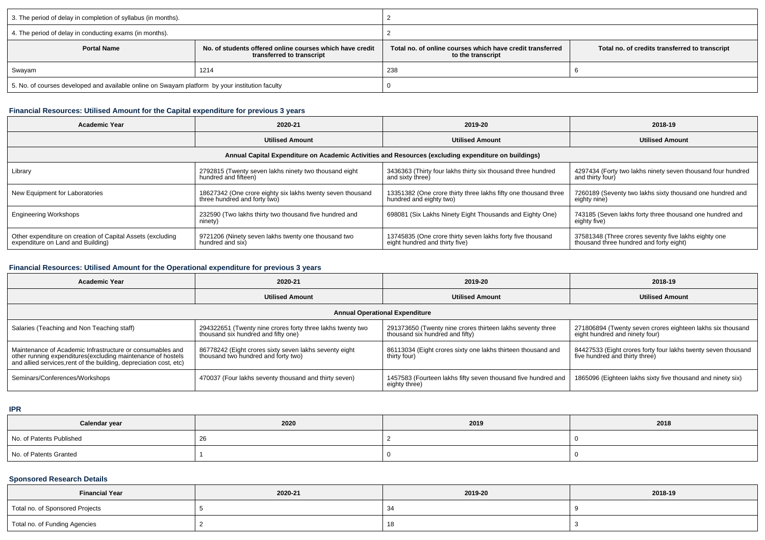| 3. The period of delay in completion of syllabus (in months).                                   |                                                                                       |                                                                                                                                  |  |  |  |
|-------------------------------------------------------------------------------------------------|---------------------------------------------------------------------------------------|----------------------------------------------------------------------------------------------------------------------------------|--|--|--|
| 4. The period of delay in conducting exams (in months).                                         |                                                                                       |                                                                                                                                  |  |  |  |
| <b>Portal Name</b>                                                                              | No. of students offered online courses which have credit<br>transferred to transcript | Total no. of online courses which have credit transferred<br>Total no. of credits transferred to transcript<br>to the transcript |  |  |  |
| Swayam                                                                                          | 1214                                                                                  | 238                                                                                                                              |  |  |  |
| 5. No. of courses developed and available online on Swayam platform by your institution faculty |                                                                                       |                                                                                                                                  |  |  |  |

## **Financial Resources: Utilised Amount for the Capital expenditure for previous 3 years**

| <b>Academic Year</b>                                                                                 | 2020-21                                                                                    | 2019-20                                                                                      | 2018-19                                                                                         |  |  |  |  |
|------------------------------------------------------------------------------------------------------|--------------------------------------------------------------------------------------------|----------------------------------------------------------------------------------------------|-------------------------------------------------------------------------------------------------|--|--|--|--|
|                                                                                                      | <b>Utilised Amount</b>                                                                     | <b>Utilised Amount</b>                                                                       | <b>Utilised Amount</b>                                                                          |  |  |  |  |
| Annual Capital Expenditure on Academic Activities and Resources (excluding expenditure on buildings) |                                                                                            |                                                                                              |                                                                                                 |  |  |  |  |
| Library                                                                                              | 2792815 (Twenty seven lakhs ninety two thousand eight<br>hundred and fifteen)              | 3436363 (Thirty four lakhs thirty six thousand three hundred<br>and sixty three)             | 4297434 (Forty two lakhs ninety seven thousand four hundred<br>and thirty four)                 |  |  |  |  |
| New Equipment for Laboratories                                                                       | 18627342 (One crore eighty six lakhs twenty seven thousand<br>three hundred and forty two) | 13351382 (One crore thirty three lakhs fifty one thousand three<br>hundred and eighty two)   | 7260189 (Seventy two lakhs sixty thousand one hundred and<br>eighty nine)                       |  |  |  |  |
| <b>Engineering Workshops</b>                                                                         | 232590 (Two lakhs thirty two thousand five hundred and<br>ninety)                          | 698081 (Six Lakhs Ninety Eight Thousands and Eighty One)                                     | 743185 (Seven lakhs forty three thousand one hundred and<br>eighty five)                        |  |  |  |  |
| Other expenditure on creation of Capital Assets (excluding<br>expenditure on Land and Building)      | 9721206 (Ninety seven lakhs twenty one thousand two<br>hundred and six)                    | 13745835 (One crore thirty seven lakhs forty five thousand<br>eight hundred and thirty five) | 37581348 (Three crores seventy five lakhs eighty one<br>thousand three hundred and forty eight) |  |  |  |  |

#### **Financial Resources: Utilised Amount for the Operational expenditure for previous 3 years**

| Academic Year                                                                                                                                                                                  | 2020-21                                                                                           | 2019-20                                                                                       | 2018-19                                                                                         |  |  |  |  |
|------------------------------------------------------------------------------------------------------------------------------------------------------------------------------------------------|---------------------------------------------------------------------------------------------------|-----------------------------------------------------------------------------------------------|-------------------------------------------------------------------------------------------------|--|--|--|--|
|                                                                                                                                                                                                | <b>Utilised Amount</b>                                                                            | <b>Utilised Amount</b>                                                                        | <b>Utilised Amount</b>                                                                          |  |  |  |  |
| <b>Annual Operational Expenditure</b>                                                                                                                                                          |                                                                                                   |                                                                                               |                                                                                                 |  |  |  |  |
| Salaries (Teaching and Non Teaching staff)                                                                                                                                                     | 294322651 (Twenty nine crores forty three lakhs twenty two<br>thousand six hundred and fifty one) | 291373650 (Twenty nine crores thirteen lakhs seventy three<br>thousand six hundred and fifty) | 271806894 (Twenty seven crores eighteen lakhs six thousand<br>eight hundred and ninety four)    |  |  |  |  |
| Maintenance of Academic Infrastructure or consumables and<br>other running expenditures(excluding maintenance of hostels<br>and allied services, rent of the building, depreciation cost, etc) | 86778242 (Eight crores sixty seven lakhs seventy eight<br>thousand two hundred and forty two)     | 86113034 (Eight crores sixty one lakhs thirteen thousand and<br>thirty four)                  | 84427533 (Eight crores forty four lakhs twenty seven thousand<br>five hundred and thirty three) |  |  |  |  |
| Seminars/Conferences/Workshops                                                                                                                                                                 | 470037 (Four lakhs seventy thousand and thirty seven)                                             | 1457583 (Fourteen lakhs fifty seven thousand five hundred and<br>eighty three)                | 1865096 (Eighteen lakhs sixty five thousand and ninety six)                                     |  |  |  |  |

#### **IPR**

| Calendar year            | 2020 | 2019 | 2018 |
|--------------------------|------|------|------|
| No. of Patents Published | -40  |      |      |
| No. of Patents Granted   |      |      |      |

### **Sponsored Research Details**

| <b>Financial Year</b>           | 2020-21 | 2019-20 | 2018-19 |
|---------------------------------|---------|---------|---------|
| Total no. of Sponsored Projects |         |         |         |
| Total no. of Funding Agencies   |         | . .     |         |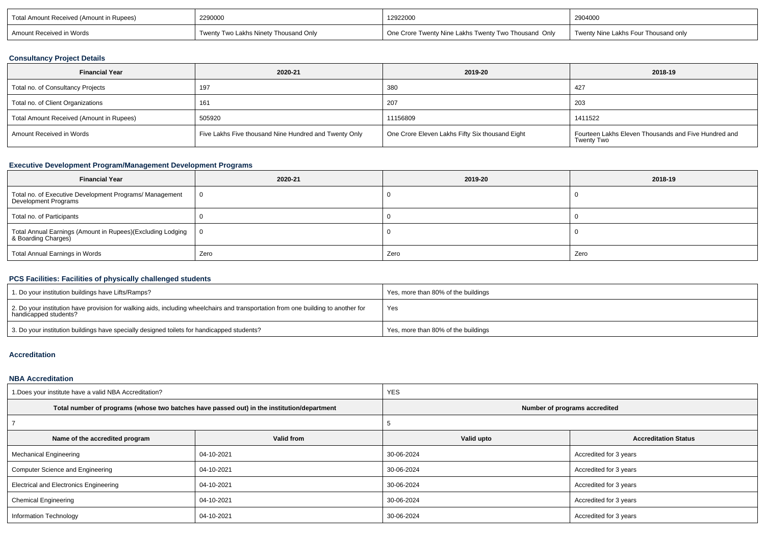| Total Amount Received (Amount in Rupees) | 2290000                                    | 12922000                                             | 2904000                              |  |
|------------------------------------------|--------------------------------------------|------------------------------------------------------|--------------------------------------|--|
| Amount Received in Words                 | v Two Lakhs Ninety Thousand Only<br>Twentv | One Crore Twenty Nine Lakhs Twenty Two Thousand Only | Twenty Nine Lakhs Four Thousand only |  |

#### **Consultancy Project Details**

| <b>Financial Year</b><br>2020-21         |                                                       | 2019-20                                         | 2018-19                                                                   |  |
|------------------------------------------|-------------------------------------------------------|-------------------------------------------------|---------------------------------------------------------------------------|--|
| Total no. of Consultancy Projects        | 197                                                   | 380                                             | 427                                                                       |  |
| Total no. of Client Organizations        | 161                                                   | 207                                             | 203                                                                       |  |
| Total Amount Received (Amount in Rupees) | 505920                                                | 11156809                                        | 1411522                                                                   |  |
| Amount Received in Words                 | Five Lakhs Five thousand Nine Hundred and Twenty Only | One Crore Eleven Lakhs Fifty Six thousand Eight | Fourteen Lakhs Eleven Thousands and Five Hundred and<br><b>Twenty Two</b> |  |

## **Executive Development Program/Management Development Programs**

| <b>Financial Year</b>                                                             | 2020-21 | 2019-20 | 2018-19 |
|-----------------------------------------------------------------------------------|---------|---------|---------|
| Total no. of Executive Development Programs/ Management<br>Development Programs   | - 0     |         |         |
| Total no. of Participants                                                         |         |         |         |
| Total Annual Earnings (Amount in Rupees)(Excluding Lodging<br>& Boarding Charges) | - 0     |         |         |
| Total Annual Earnings in Words                                                    | Zero    | Zero    | Zero    |

# **PCS Facilities: Facilities of physically challenged students**

| 1. Do your institution buildings have Lifts/Ramps?                                                                                                         | Yes, more than 80% of the buildings |
|------------------------------------------------------------------------------------------------------------------------------------------------------------|-------------------------------------|
| 2. Do your institution have provision for walking aids, including wheelchairs and transportation from one building to another for<br>handicapped students? | Yes                                 |
| 3. Do your institution buildings have specially designed toilets for handicapped students?                                                                 | Yes, more than 80% of the buildings |

### **Accreditation**

#### **NBA Accreditation**

| 1. Does your institute have a valid NBA Accreditation? |                                                                                            | <b>YES</b>                    |                             |  |  |  |
|--------------------------------------------------------|--------------------------------------------------------------------------------------------|-------------------------------|-----------------------------|--|--|--|
|                                                        | Total number of programs (whose two batches have passed out) in the institution/department | Number of programs accredited |                             |  |  |  |
|                                                        |                                                                                            |                               |                             |  |  |  |
| Name of the accredited program                         | Valid from                                                                                 | Valid upto                    | <b>Accreditation Status</b> |  |  |  |
| <b>Mechanical Engineering</b>                          | 04-10-2021                                                                                 | 30-06-2024                    | Accredited for 3 years      |  |  |  |
| Computer Science and Engineering                       | 04-10-2021                                                                                 | 30-06-2024                    | Accredited for 3 years      |  |  |  |
| <b>Electrical and Electronics Engineering</b>          | 04-10-2021                                                                                 | 30-06-2024                    | Accredited for 3 years      |  |  |  |
| <b>Chemical Engineering</b>                            | 04-10-2021                                                                                 | 30-06-2024                    | Accredited for 3 years      |  |  |  |
| Information Technology                                 | 04-10-2021                                                                                 | 30-06-2024                    | Accredited for 3 years      |  |  |  |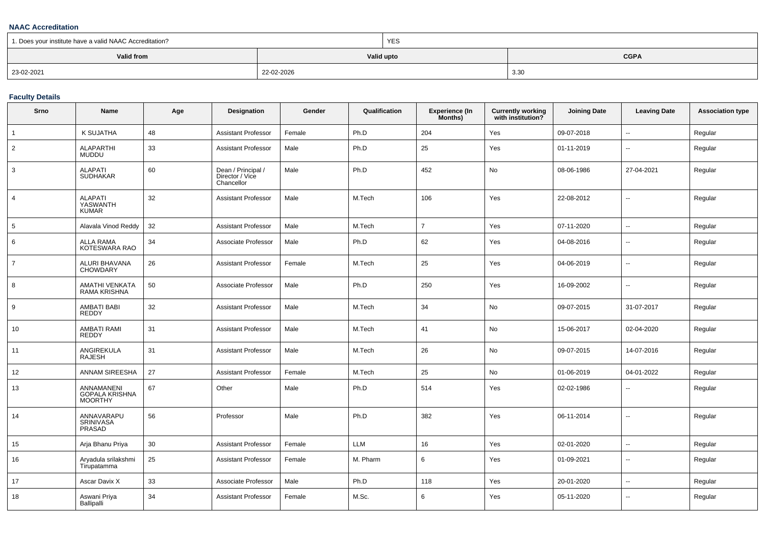#### **NAAC Accreditation**

| 1. Does your institute have a valid NAAC Accreditation? |            | <b>YES</b>                |      |  |  |
|---------------------------------------------------------|------------|---------------------------|------|--|--|
| Valid from                                              |            | <b>CGPA</b><br>Valid upto |      |  |  |
| 23-02-2021                                              | 22-02-2026 |                           | 3.30 |  |  |

#### **Faculty Details**

| Srno            | Name                                       | Age | Designation                                         | Gender | Qualification | <b>Experience (In</b><br>Months) | <b>Currently working</b><br>with institution? | <b>Joining Date</b> | <b>Leaving Date</b>      | <b>Association type</b> |
|-----------------|--------------------------------------------|-----|-----------------------------------------------------|--------|---------------|----------------------------------|-----------------------------------------------|---------------------|--------------------------|-------------------------|
| $\overline{1}$  | K SUJATHA                                  | 48  | Assistant Professor                                 | Female | Ph.D          | 204                              | Yes                                           | 09-07-2018          | $\overline{\phantom{a}}$ | Regular                 |
| $\overline{2}$  | <b>ALAPARTHI</b><br><b>MUDDU</b>           | 33  | <b>Assistant Professor</b>                          | Male   | Ph.D          | 25                               | Yes                                           | 01-11-2019          | $\overline{\phantom{a}}$ | Regular                 |
| 3               | <b>ALAPATI</b><br><b>SUDHAKAR</b>          | 60  | Dean / Principal /<br>Director / Vice<br>Chancellor | Male   | Ph.D          | 452                              | No                                            | 08-06-1986          | 27-04-2021               | Regular                 |
| $\overline{4}$  | <b>ALAPATI</b><br>YASWANTH<br><b>KUMAR</b> | 32  | <b>Assistant Professor</b>                          | Male   | M.Tech        | 106                              | Yes                                           | 22-08-2012          | $\sim$                   | Regular                 |
| $5\phantom{.0}$ | Alavala Vinod Reddy                        | 32  | <b>Assistant Professor</b>                          | Male   | M.Tech        | $\overline{7}$                   | Yes                                           | 07-11-2020          | $\overline{\phantom{a}}$ | Regular                 |
| 6               | ALLA RAMA<br>KOTESWARA RAO                 | 34  | Associate Professor                                 | Male   | Ph.D          | 62                               | Yes                                           | 04-08-2016          | $\overline{\phantom{a}}$ | Regular                 |
| $\overline{7}$  | ALURI BHAVANA<br>CHOWDARY                  | 26  | <b>Assistant Professor</b>                          | Female | M.Tech        | 25                               | Yes                                           | 04-06-2019          | $\overline{\phantom{a}}$ | Regular                 |
| 8               | AMATHI VENKATA<br>RAMA KRISHNA             | 50  | Associate Professor                                 | Male   | Ph.D          | 250                              | Yes                                           | 16-09-2002          | $\overline{\phantom{a}}$ | Regular                 |
| 9               | AMBATI BABI<br><b>REDDY</b>                | 32  | <b>Assistant Professor</b>                          | Male   | M.Tech        | 34                               | No                                            | 09-07-2015          | 31-07-2017               | Regular                 |
| 10              | AMBATI RAMI<br><b>REDDY</b>                | 31  | Assistant Professor                                 | Male   | M.Tech        | 41                               | No                                            | 15-06-2017          | 02-04-2020               | Regular                 |
| 11              | ANGIREKULA<br><b>RAJESH</b>                | 31  | Assistant Professor                                 | Male   | M.Tech        | 26                               | No                                            | 09-07-2015          | 14-07-2016               | Regular                 |
| 12              | ANNAM SIREESHA                             | 27  | Assistant Professor                                 | Female | M.Tech        | 25                               | No                                            | 01-06-2019          | 04-01-2022               | Regular                 |
| 13              | ANNAMANENI<br>GOPALA KRISHNA<br>MOORTHY    | 67  | Other                                               | Male   | Ph.D          | 514                              | Yes                                           | 02-02-1986          |                          | Regular                 |
| 14              | ANNAVARAPU<br>SRINIVASA<br>PRASAD          | 56  | Professor                                           | Male   | Ph.D          | 382                              | Yes                                           | 06-11-2014          | $\overline{\phantom{a}}$ | Regular                 |
| 15              | Arja Bhanu Priya                           | 30  | Assistant Professor                                 | Female | LLM           | 16                               | Yes                                           | 02-01-2020          | $\overline{\phantom{a}}$ | Regular                 |
| 16              | Aryadula srilakshmi<br>Tirupatamma         | 25  | <b>Assistant Professor</b>                          | Female | M. Pharm      | 6                                | Yes                                           | 01-09-2021          | $\overline{\phantom{a}}$ | Regular                 |
| 17              | Ascar Davix X                              | 33  | Associate Professor                                 | Male   | Ph.D          | 118                              | Yes                                           | 20-01-2020          | $\overline{\phantom{a}}$ | Regular                 |
| 18              | Aswani Priya<br>Ballipalli                 | 34  | <b>Assistant Professor</b>                          | Female | M.Sc.         | 6                                | Yes                                           | 05-11-2020          | $\overline{\phantom{a}}$ | Regular                 |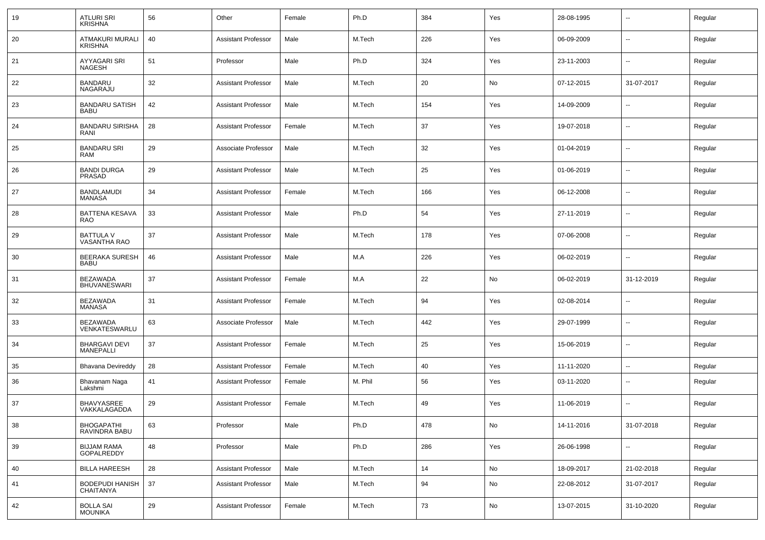| 19 | <b>ATLURI SRI</b><br><b>KRISHNA</b>        | 56 | Other                      | Female | Ph.D    | 384 | Yes | 28-08-1995 | --         | Regular |
|----|--------------------------------------------|----|----------------------------|--------|---------|-----|-----|------------|------------|---------|
| 20 | <b>ATMAKURI MURALI</b><br><b>KRISHNA</b>   | 40 | <b>Assistant Professor</b> | Male   | M.Tech  | 226 | Yes | 06-09-2009 | $\sim$     | Regular |
| 21 | AYYAGARI SRI<br><b>NAGESH</b>              | 51 | Professor                  | Male   | Ph.D    | 324 | Yes | 23-11-2003 | $\sim$     | Regular |
| 22 | BANDARU<br>NAGARAJU                        | 32 | <b>Assistant Professor</b> | Male   | M.Tech  | 20  | No  | 07-12-2015 | 31-07-2017 | Regular |
| 23 | <b>BANDARU SATISH</b><br><b>BABU</b>       | 42 | <b>Assistant Professor</b> | Male   | M.Tech  | 154 | Yes | 14-09-2009 | $\sim$     | Regular |
| 24 | <b>BANDARU SIRISHA</b><br>RANI             | 28 | <b>Assistant Professor</b> | Female | M.Tech  | 37  | Yes | 19-07-2018 | $\sim$     | Regular |
| 25 | <b>BANDARU SRI</b><br><b>RAM</b>           | 29 | Associate Professor        | Male   | M.Tech  | 32  | Yes | 01-04-2019 | $\sim$     | Regular |
| 26 | <b>BANDI DURGA</b><br>PRASAD               | 29 | <b>Assistant Professor</b> | Male   | M.Tech  | 25  | Yes | 01-06-2019 | $\sim$     | Regular |
| 27 | <b>BANDLAMUDI</b><br>MANASA                | 34 | <b>Assistant Professor</b> | Female | M.Tech  | 166 | Yes | 06-12-2008 | $\sim$     | Regular |
| 28 | <b>BATTENA KESAVA</b><br><b>RAO</b>        | 33 | <b>Assistant Professor</b> | Male   | Ph.D    | 54  | Yes | 27-11-2019 | $\sim$     | Regular |
| 29 | <b>BATTULA V</b><br>VASANTHA RAO           | 37 | <b>Assistant Professor</b> | Male   | M.Tech  | 178 | Yes | 07-06-2008 | $\sim$     | Regular |
| 30 | <b>BEERAKA SURESH</b><br><b>BABU</b>       | 46 | <b>Assistant Professor</b> | Male   | M.A     | 226 | Yes | 06-02-2019 | $\sim$     | Regular |
| 31 | <b>BEZAWADA</b><br><b>BHUVANESWARI</b>     | 37 | <b>Assistant Professor</b> | Female | M.A     | 22  | No  | 06-02-2019 | 31-12-2019 | Regular |
| 32 | <b>BEZAWADA</b><br>MANASA                  | 31 | <b>Assistant Professor</b> | Female | M.Tech  | 94  | Yes | 02-08-2014 | $\sim$     | Regular |
| 33 | <b>BEZAWADA</b><br>VENKATESWARLU           | 63 | Associate Professor        | Male   | M.Tech  | 442 | Yes | 29-07-1999 | $\sim$     | Regular |
| 34 | <b>BHARGAVI DEVI</b><br><b>MANEPALLI</b>   | 37 | <b>Assistant Professor</b> | Female | M.Tech  | 25  | Yes | 15-06-2019 | $\sim$     | Regular |
| 35 | <b>Bhavana Devireddy</b>                   | 28 | <b>Assistant Professor</b> | Female | M.Tech  | 40  | Yes | 11-11-2020 | $\sim$     | Regular |
| 36 | Bhavanam Naga<br>Lakshmi                   | 41 | <b>Assistant Professor</b> | Female | M. Phil | 56  | Yes | 03-11-2020 | --         | Regular |
| 37 | BHAVYASREE<br>VAKKALAGADDA                 | 29 | <b>Assistant Professor</b> | Female | M.Tech  | 49  | Yes | 11-06-2019 | --         | Regular |
| 38 | <b>BHOGAPATHI</b><br>RAVINDRA BABU         | 63 | Professor                  | Male   | Ph.D    | 478 | No  | 14-11-2016 | 31-07-2018 | Regular |
| 39 | <b>BIJJAM RAMA</b><br>GOPALREDDY           | 48 | Professor                  | Male   | Ph.D    | 286 | Yes | 26-06-1998 | --         | Regular |
| 40 | <b>BILLA HAREESH</b>                       | 28 | <b>Assistant Professor</b> | Male   | M.Tech  | 14  | No  | 18-09-2017 | 21-02-2018 | Regular |
| 41 | <b>BODEPUDI HANISH</b><br><b>CHAITANYA</b> | 37 | <b>Assistant Professor</b> | Male   | M.Tech  | 94  | No  | 22-08-2012 | 31-07-2017 | Regular |
| 42 | <b>BOLLA SAI</b><br><b>MOUNIKA</b>         | 29 | <b>Assistant Professor</b> | Female | M.Tech  | 73  | No  | 13-07-2015 | 31-10-2020 | Regular |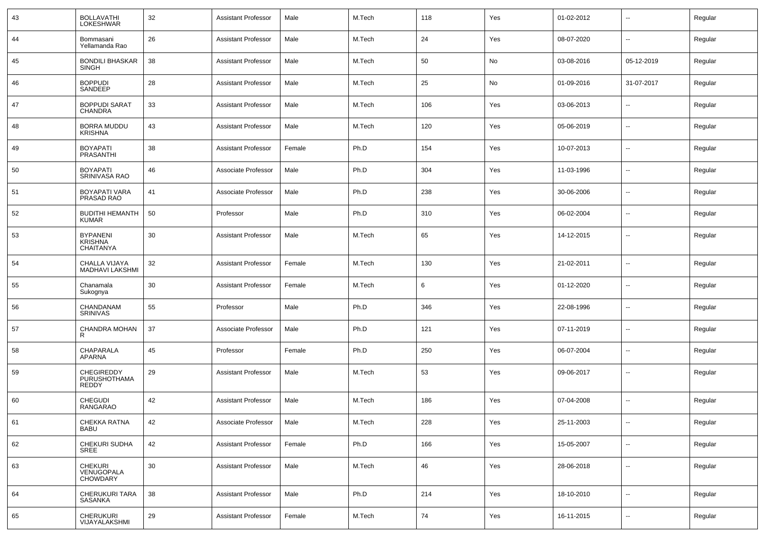| 43 | <b>BOLLAVATHI</b><br><b>LOKESHWAR</b>                 | 32 | <b>Assistant Professor</b> | Male   | M.Tech | 118 | Yes | 01-02-2012 | $\overline{\phantom{a}}$ | Regular |
|----|-------------------------------------------------------|----|----------------------------|--------|--------|-----|-----|------------|--------------------------|---------|
| 44 | Bommasani<br>Yellamanda Rao                           | 26 | <b>Assistant Professor</b> | Male   | M.Tech | 24  | Yes | 08-07-2020 | $\sim$                   | Regular |
| 45 | <b>BONDILI BHASKAR</b><br><b>SINGH</b>                | 38 | <b>Assistant Professor</b> | Male   | M.Tech | 50  | No  | 03-08-2016 | 05-12-2019               | Regular |
| 46 | <b>BOPPUDI</b><br>SANDEEP                             | 28 | <b>Assistant Professor</b> | Male   | M.Tech | 25  | No  | 01-09-2016 | 31-07-2017               | Regular |
| 47 | <b>BOPPUDI SARAT</b><br><b>CHANDRA</b>                | 33 | <b>Assistant Professor</b> | Male   | M.Tech | 106 | Yes | 03-06-2013 | $\sim$                   | Regular |
| 48 | <b>BORRA MUDDU</b><br><b>KRISHNA</b>                  | 43 | <b>Assistant Professor</b> | Male   | M.Tech | 120 | Yes | 05-06-2019 | $\sim$                   | Regular |
| 49 | <b>BOYAPATI</b><br><b>PRASANTHI</b>                   | 38 | <b>Assistant Professor</b> | Female | Ph.D   | 154 | Yes | 10-07-2013 | $\sim$                   | Regular |
| 50 | <b>BOYAPATI</b><br><b>SRINIVASA RAO</b>               | 46 | Associate Professor        | Male   | Ph.D   | 304 | Yes | 11-03-1996 | $\sim$                   | Regular |
| 51 | <b>BOYAPATI VARA</b><br>PRASAD RAO                    | 41 | Associate Professor        | Male   | Ph.D   | 238 | Yes | 30-06-2006 | $\overline{\phantom{a}}$ | Regular |
| 52 | <b>BUDITHI HEMANTH</b><br><b>KUMAR</b>                | 50 | Professor                  | Male   | Ph.D   | 310 | Yes | 06-02-2004 | $\sim$                   | Regular |
| 53 | <b>BYPANENI</b><br><b>KRISHNA</b><br><b>CHAITANYA</b> | 30 | <b>Assistant Professor</b> | Male   | M.Tech | 65  | Yes | 14-12-2015 | $\overline{\phantom{a}}$ | Regular |
| 54 | CHALLA VIJAYA<br>MADHAVI LAKSHMI                      | 32 | <b>Assistant Professor</b> | Female | M.Tech | 130 | Yes | 21-02-2011 | $\overline{\phantom{a}}$ | Regular |
| 55 | Chanamala<br>Sukognya                                 | 30 | <b>Assistant Professor</b> | Female | M.Tech | 6   | Yes | 01-12-2020 | $\overline{\phantom{a}}$ | Regular |
| 56 | CHANDANAM<br><b>SRINIVAS</b>                          | 55 | Professor                  | Male   | Ph.D   | 346 | Yes | 22-08-1996 | $\overline{\phantom{a}}$ | Regular |
| 57 | CHANDRA MOHAN<br>R                                    | 37 | Associate Professor        | Male   | Ph.D   | 121 | Yes | 07-11-2019 | $\overline{\phantom{a}}$ | Regular |
| 58 | CHAPARALA<br><b>APARNA</b>                            | 45 | Professor                  | Female | Ph.D   | 250 | Yes | 06-07-2004 | $\overline{\phantom{a}}$ | Regular |
| 59 | CHEGIREDDY<br>PURUSHOTHAMA<br>REDDY                   | 29 | <b>Assistant Professor</b> | Male   | M.Tech | 53  | Yes | 09-06-2017 | $\overline{\phantom{a}}$ | Regular |
| 60 | <b>CHEGUDI</b><br>RANGARAO                            | 42 | <b>Assistant Professor</b> | Male   | M.Tech | 186 | Yes | 07-04-2008 |                          | Regular |
| 61 | CHEKKA RATNA<br><b>BABU</b>                           | 42 | Associate Professor        | Male   | M.Tech | 228 | Yes | 25-11-2003 | $\overline{\phantom{a}}$ | Regular |
| 62 | CHEKURI SUDHA<br>SREE                                 | 42 | <b>Assistant Professor</b> | Female | Ph.D   | 166 | Yes | 15-05-2007 | Щ,                       | Regular |
| 63 | CHEKURI<br>VENUGOPALA<br>CHOWDARY                     | 30 | <b>Assistant Professor</b> | Male   | M.Tech | 46  | Yes | 28-06-2018 | Щ,                       | Regular |
| 64 | CHERUKURI TARA<br>SASANKA                             | 38 | <b>Assistant Professor</b> | Male   | Ph.D   | 214 | Yes | 18-10-2010 | $\sim$                   | Regular |
| 65 | <b>CHERUKURI</b><br>VIJAYALAKSHMI                     | 29 | <b>Assistant Professor</b> | Female | M.Tech | 74  | Yes | 16-11-2015 | $\overline{\phantom{a}}$ | Regular |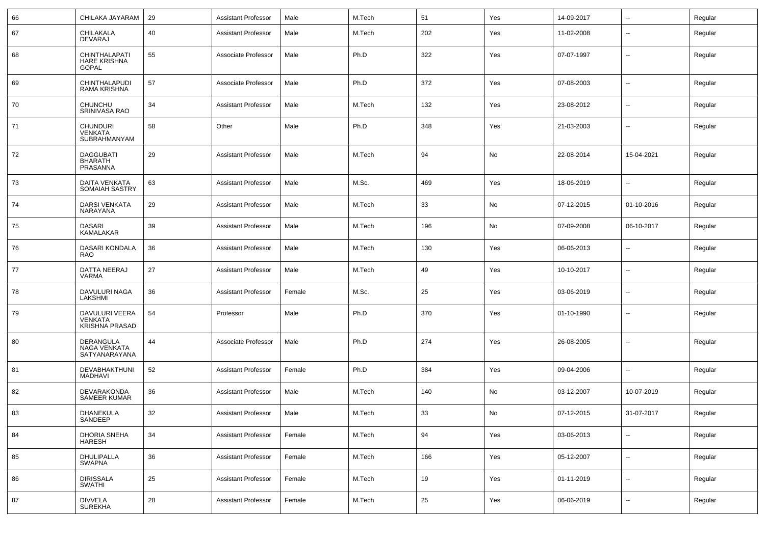| 66 | CHILAKA JAYARAM                                           | 29 | <b>Assistant Professor</b> | Male   | M.Tech | 51  | Yes | 14-09-2017 | --                       | Regular |
|----|-----------------------------------------------------------|----|----------------------------|--------|--------|-----|-----|------------|--------------------------|---------|
| 67 | CHILAKALA<br>DEVARAJ                                      | 40 | <b>Assistant Professor</b> | Male   | M.Tech | 202 | Yes | 11-02-2008 | --                       | Regular |
| 68 | CHINTHALAPATI<br><b>HARE KRISHNA</b><br><b>GOPAL</b>      | 55 | Associate Professor        | Male   | Ph.D   | 322 | Yes | 07-07-1997 | Ξ.                       | Regular |
| 69 | CHINTHALAPUDI<br>RAMA KRISHNA                             | 57 | Associate Professor        | Male   | Ph.D   | 372 | Yes | 07-08-2003 | --                       | Regular |
| 70 | CHUNCHU<br>SRINIVASA RAO                                  | 34 | <b>Assistant Professor</b> | Male   | M.Tech | 132 | Yes | 23-08-2012 | ۰.                       | Regular |
| 71 | <b>CHUNDURI</b><br>VENKATA<br>SUBRAHMANYAM                | 58 | Other                      | Male   | Ph.D   | 348 | Yes | 21-03-2003 | --                       | Regular |
| 72 | <b>DAGGUBATI</b><br><b>BHARATH</b><br>PRASANNA            | 29 | <b>Assistant Professor</b> | Male   | M.Tech | 94  | No  | 22-08-2014 | 15-04-2021               | Regular |
| 73 | <b>DAITA VENKATA</b><br>SOMAIAH SASTRY                    | 63 | <b>Assistant Professor</b> | Male   | M.Sc.  | 469 | Yes | 18-06-2019 | $\overline{\phantom{a}}$ | Regular |
| 74 | <b>DARSI VENKATA</b><br>NARAYANA                          | 29 | <b>Assistant Professor</b> | Male   | M.Tech | 33  | No  | 07-12-2015 | 01-10-2016               | Regular |
| 75 | <b>DASARI</b><br>KAMALAKAR                                | 39 | <b>Assistant Professor</b> | Male   | M.Tech | 196 | No  | 07-09-2008 | 06-10-2017               | Regular |
| 76 | DASARI KONDALA<br><b>RAO</b>                              | 36 | <b>Assistant Professor</b> | Male   | M.Tech | 130 | Yes | 06-06-2013 | $\overline{a}$           | Regular |
| 77 | DATTA NEERAJ<br><b>VARMA</b>                              | 27 | <b>Assistant Professor</b> | Male   | M.Tech | 49  | Yes | 10-10-2017 | $\sim$                   | Regular |
| 78 | DAVULURI NAGA<br>LAKSHMI                                  | 36 | <b>Assistant Professor</b> | Female | M.Sc.  | 25  | Yes | 03-06-2019 | $\overline{\phantom{a}}$ | Regular |
| 79 | DAVULURI VEERA<br><b>VENKATA</b><br><b>KRISHNA PRASAD</b> | 54 | Professor                  | Male   | Ph.D   | 370 | Yes | 01-10-1990 | Ξ.                       | Regular |
| 80 | DERANGULA<br>NAGA VENKATA<br>SATYANARAYANA                | 44 | Associate Professor        | Male   | Ph.D   | 274 | Yes | 26-08-2005 |                          | Regular |
| 81 | DEVABHAKTHUNI<br><b>MADHAVI</b>                           | 52 | <b>Assistant Professor</b> | Female | Ph.D   | 384 | Yes | 09-04-2006 | --                       | Regular |
| 82 | DEVARAKONDA<br>SAMEER KUMAR                               | 36 | <b>Assistant Professor</b> | Male   | M.Tech | 140 | No  | 03-12-2007 | 10-07-2019               | Regular |
| 83 | DHANEKULA<br>SANDEEP                                      | 32 | <b>Assistant Professor</b> | Male   | M.Tech | 33  | No  | 07-12-2015 | 31-07-2017               | Regular |
| 84 | DHORIA SNEHA<br><b>HARESH</b>                             | 34 | <b>Assistant Professor</b> | Female | M.Tech | 94  | Yes | 03-06-2013 | $\overline{\phantom{a}}$ | Regular |
| 85 | DHULIPALLA<br><b>SWAPNA</b>                               | 36 | <b>Assistant Professor</b> | Female | M.Tech | 166 | Yes | 05-12-2007 | $\overline{\phantom{a}}$ | Regular |
| 86 | <b>DIRISSALA</b><br><b>SWATHI</b>                         | 25 | <b>Assistant Professor</b> | Female | M.Tech | 19  | Yes | 01-11-2019 | $\overline{\phantom{a}}$ | Regular |
| 87 | DIVVELA<br>SUREKHA                                        | 28 | <b>Assistant Professor</b> | Female | M.Tech | 25  | Yes | 06-06-2019 | $\overline{\phantom{a}}$ | Regular |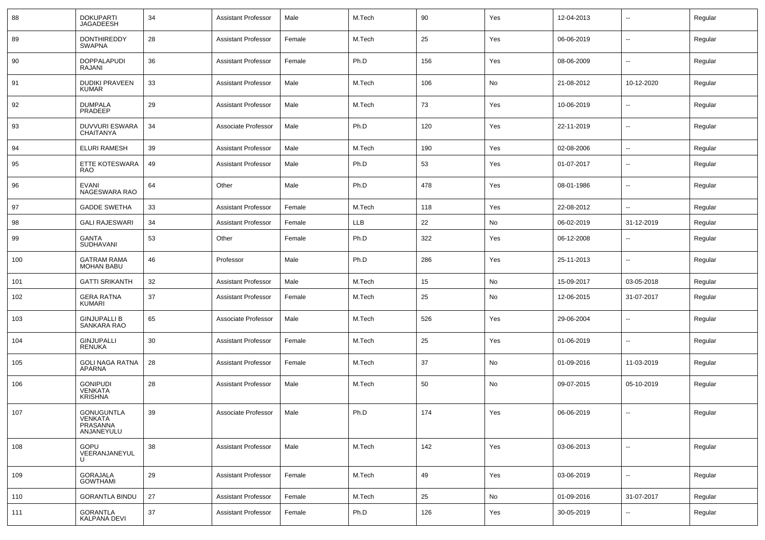| 88  | <b>DOKUPARTI</b><br><b>JAGADEESH</b>                   | 34 | <b>Assistant Professor</b> | Male   | M.Tech | 90  | Yes | 12-04-2013 | $\overline{\phantom{a}}$ | Regular |
|-----|--------------------------------------------------------|----|----------------------------|--------|--------|-----|-----|------------|--------------------------|---------|
| 89  | <b>DONTHIREDDY</b><br><b>SWAPNA</b>                    | 28 | <b>Assistant Professor</b> | Female | M.Tech | 25  | Yes | 06-06-2019 | $\sim$                   | Regular |
| 90  | <b>DOPPALAPUDI</b><br>RAJANI                           | 36 | <b>Assistant Professor</b> | Female | Ph.D   | 156 | Yes | 08-06-2009 | $\overline{\phantom{a}}$ | Regular |
| 91  | <b>DUDIKI PRAVEEN</b><br><b>KUMAR</b>                  | 33 | <b>Assistant Professor</b> | Male   | M.Tech | 106 | No  | 21-08-2012 | 10-12-2020               | Regular |
| 92  | <b>DUMPALA</b><br><b>PRADEEP</b>                       | 29 | <b>Assistant Professor</b> | Male   | M.Tech | 73  | Yes | 10-06-2019 | $\overline{\phantom{a}}$ | Regular |
| 93  | <b>DUVVURI ESWARA</b><br>CHAITANYA                     | 34 | Associate Professor        | Male   | Ph.D   | 120 | Yes | 22-11-2019 | $\sim$                   | Regular |
| 94  | <b>ELURI RAMESH</b>                                    | 39 | <b>Assistant Professor</b> | Male   | M.Tech | 190 | Yes | 02-08-2006 | $\sim$                   | Regular |
| 95  | ETTE KOTESWARA<br><b>RAO</b>                           | 49 | <b>Assistant Professor</b> | Male   | Ph.D   | 53  | Yes | 01-07-2017 | --                       | Regular |
| 96  | <b>EVANI</b><br>NAGESWARA RAO                          | 64 | Other                      | Male   | Ph.D   | 478 | Yes | 08-01-1986 | --                       | Regular |
| 97  | <b>GADDE SWETHA</b>                                    | 33 | <b>Assistant Professor</b> | Female | M.Tech | 118 | Yes | 22-08-2012 | --                       | Regular |
| 98  | <b>GALI RAJESWARI</b>                                  | 34 | <b>Assistant Professor</b> | Female | LLB    | 22  | No  | 06-02-2019 | 31-12-2019               | Regular |
| 99  | GANTA<br>SUDHAVANI                                     | 53 | Other                      | Female | Ph.D   | 322 | Yes | 06-12-2008 | --                       | Regular |
| 100 | <b>GATRAM RAMA</b><br><b>MOHAN BABU</b>                | 46 | Professor                  | Male   | Ph.D   | 286 | Yes | 25-11-2013 | --                       | Regular |
| 101 | <b>GATTI SRIKANTH</b>                                  | 32 | <b>Assistant Professor</b> | Male   | M.Tech | 15  | No  | 15-09-2017 | 03-05-2018               | Regular |
| 102 | <b>GERA RATNA</b><br><b>KUMARI</b>                     | 37 | <b>Assistant Professor</b> | Female | M.Tech | 25  | No  | 12-06-2015 | 31-07-2017               | Regular |
| 103 | <b>GINJUPALLI B</b><br>SANKARA RAO                     | 65 | Associate Professor        | Male   | M.Tech | 526 | Yes | 29-06-2004 | --                       | Regular |
| 104 | <b>GINJUPALLI</b><br><b>RENUKA</b>                     | 30 | <b>Assistant Professor</b> | Female | M.Tech | 25  | Yes | 01-06-2019 |                          | Regular |
| 105 | <b>GOLI NAGA RATNA</b><br>APARNA                       | 28 | <b>Assistant Professor</b> | Female | M.Tech | 37  | No  | 01-09-2016 | 11-03-2019               | Regular |
| 106 | <b>GONIPUDI</b><br><b>VENKATA</b><br><b>KRISHNA</b>    | 28 | <b>Assistant Professor</b> | Male   | M.Tech | 50  | No  | 09-07-2015 | 05-10-2019               | Regular |
| 107 | <b>GONUGUNTLA</b><br>VENKATA<br>PRASANNA<br>ANJANEYULU | 39 | Associate Professor        | Male   | Ph.D   | 174 | Yes | 06-06-2019 | $\overline{\phantom{a}}$ | Regular |
| 108 | GOPU<br>VEERANJANEYUL<br>U                             | 38 | <b>Assistant Professor</b> | Male   | M.Tech | 142 | Yes | 03-06-2013 | --                       | Regular |
| 109 | <b>GORAJALA</b><br><b>GOWTHAMI</b>                     | 29 | <b>Assistant Professor</b> | Female | M.Tech | 49  | Yes | 03-06-2019 | $\overline{\phantom{a}}$ | Regular |
| 110 | <b>GORANTLA BINDU</b>                                  | 27 | <b>Assistant Professor</b> | Female | M.Tech | 25  | No  | 01-09-2016 | 31-07-2017               | Regular |
| 111 | <b>GORANTLA</b><br>KALPANA DEVI                        | 37 | <b>Assistant Professor</b> | Female | Ph.D   | 126 | Yes | 30-05-2019 | ۰.                       | Regular |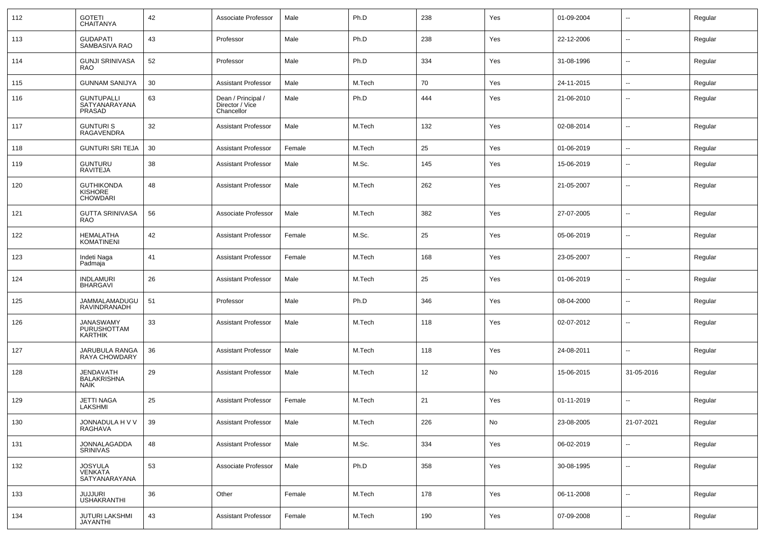| 112 | <b>GOTETI</b><br><b>CHAITANYA</b>                      | 42 | Associate Professor                                 | Male   | Ph.D   | 238 | Yes           | 01-09-2004 | $\overline{\phantom{a}}$ | Regular |
|-----|--------------------------------------------------------|----|-----------------------------------------------------|--------|--------|-----|---------------|------------|--------------------------|---------|
| 113 | <b>GUDAPATI</b><br>SAMBASIVA RAO                       | 43 | Professor                                           | Male   | Ph.D   | 238 | Yes           | 22-12-2006 | $\overline{\phantom{a}}$ | Regular |
| 114 | <b>GUNJI SRINIVASA</b><br><b>RAO</b>                   | 52 | Professor                                           | Male   | Ph.D   | 334 | Yes           | 31-08-1996 | $\overline{\phantom{a}}$ | Regular |
| 115 | <b>GUNNAM SANIJYA</b>                                  | 30 | <b>Assistant Professor</b>                          | Male   | M.Tech | 70  | Yes           | 24-11-2015 | $\overline{\phantom{a}}$ | Regular |
| 116 | <b>GUNTUPALLI</b><br>SATYANARAYANA<br>PRASAD           | 63 | Dean / Principal /<br>Director / Vice<br>Chancellor | Male   | Ph.D   | 444 | Yes           | 21-06-2010 | $\overline{\phantom{a}}$ | Regular |
| 117 | <b>GUNTURIS</b><br>RAGAVENDRA                          | 32 | <b>Assistant Professor</b>                          | Male   | M.Tech | 132 | Yes           | 02-08-2014 | $\overline{\phantom{a}}$ | Regular |
| 118 | <b>GUNTURI SRI TEJA</b>                                | 30 | <b>Assistant Professor</b>                          | Female | M.Tech | 25  | Yes           | 01-06-2019 | $\mathbf{u}$             | Regular |
| 119 | <b>GUNTURU</b><br><b>RAVITEJA</b>                      | 38 | <b>Assistant Professor</b>                          | Male   | M.Sc.  | 145 | Yes           | 15-06-2019 | $\overline{\phantom{a}}$ | Regular |
| 120 | <b>GUTHIKONDA</b><br><b>KISHORE</b><br><b>CHOWDARI</b> | 48 | <b>Assistant Professor</b>                          | Male   | M.Tech | 262 | Yes           | 21-05-2007 | $\mathbf{u}$             | Regular |
| 121 | <b>GUTTA SRINIVASA</b><br><b>RAO</b>                   | 56 | Associate Professor                                 | Male   | M.Tech | 382 | Yes           | 27-07-2005 | $\overline{\phantom{a}}$ | Regular |
| 122 | <b>HEMALATHA</b><br><b>KOMATINENI</b>                  | 42 | <b>Assistant Professor</b>                          | Female | M.Sc.  | 25  | Yes           | 05-06-2019 | $\mathbf{u}$             | Regular |
| 123 | Indeti Naga<br>Padmaja                                 | 41 | <b>Assistant Professor</b>                          | Female | M.Tech | 168 | Yes           | 23-05-2007 | $\overline{\phantom{a}}$ | Regular |
| 124 | <b>INDLAMURI</b><br><b>BHARGAVI</b>                    | 26 | Assistant Professor                                 | Male   | M.Tech | 25  | Yes           | 01-06-2019 | $\mathbf{u}$             | Regular |
| 125 | JAMMALAMADUGU<br>RAVINDRANADH                          | 51 | Professor                                           | Male   | Ph.D   | 346 | Yes           | 08-04-2000 | $\overline{\phantom{a}}$ | Regular |
| 126 | JANASWAMY<br><b>PURUSHOTTAM</b><br>KARTHIK             | 33 | <b>Assistant Professor</b>                          | Male   | M.Tech | 118 | Yes           | 02-07-2012 | $\overline{\phantom{a}}$ | Regular |
| 127 | JARUBULA RANGA<br>RAYA CHOWDARY                        | 36 | <b>Assistant Professor</b>                          | Male   | M.Tech | 118 | Yes           | 24-08-2011 | $\overline{\phantom{a}}$ | Regular |
| 128 | <b>JENDAVATH</b><br><b>BALAKRISHNA</b><br><b>NAIK</b>  | 29 | <b>Assistant Professor</b>                          | Male   | M.Tech | 12  | No            | 15-06-2015 | 31-05-2016               | Regular |
| 129 | <b>JETTI NAGA</b><br>LAKSHMI                           | 25 | <b>Assistant Professor</b>                          | Female | M.Tech | 21  | Yes           | 01-11-2019 | $\overline{\phantom{a}}$ | Regular |
| 130 | JONNADULA H V V<br>RAGHAVA                             | 39 | <b>Assistant Professor</b>                          | Male   | M.Tech | 226 | $\mathsf{No}$ | 23-08-2005 | 21-07-2021               | Regular |
| 131 | JONNALAGADDA<br><b>SRINIVAS</b>                        | 48 | Assistant Professor                                 | Male   | M.Sc.  | 334 | Yes           | 06-02-2019 | $\overline{\phantom{a}}$ | Regular |
| 132 | <b>JOSYULA</b><br><b>VENKATA</b><br>SATYANARAYANA      | 53 | Associate Professor                                 | Male   | Ph.D   | 358 | Yes           | 30-08-1995 | $\overline{\phantom{a}}$ | Regular |
| 133 | <b>JUJJURI</b><br><b>USHAKRANTHI</b>                   | 36 | Other                                               | Female | M.Tech | 178 | Yes           | 06-11-2008 | $\overline{\phantom{a}}$ | Regular |
| 134 | JUTURI LAKSHMI<br>JAYANTHI                             | 43 | <b>Assistant Professor</b>                          | Female | M.Tech | 190 | Yes           | 07-09-2008 | $\overline{\phantom{a}}$ | Regular |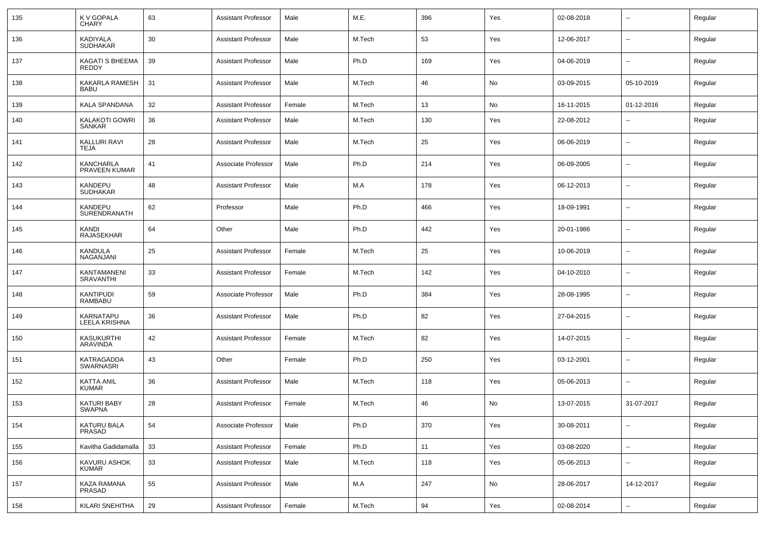| 135 | K V GOPALA<br><b>CHARY</b>        | 63 | <b>Assistant Professor</b> | Male   | M.E.   | 396 | Yes | 02-08-2018 | --                       | Regular |
|-----|-----------------------------------|----|----------------------------|--------|--------|-----|-----|------------|--------------------------|---------|
| 136 | KADIYALA<br><b>SUDHAKAR</b>       | 30 | <b>Assistant Professor</b> | Male   | M.Tech | 53  | Yes | 12-06-2017 | $\sim$                   | Regular |
| 137 | KAGATI S BHEEMA<br><b>REDDY</b>   | 39 | <b>Assistant Professor</b> | Male   | Ph.D   | 169 | Yes | 04-06-2019 | $\sim$                   | Regular |
| 138 | KAKARLA RAMESH<br><b>BABU</b>     | 31 | <b>Assistant Professor</b> | Male   | M.Tech | 46  | No  | 03-09-2015 | 05-10-2019               | Regular |
| 139 | KALA SPANDANA                     | 32 | <b>Assistant Professor</b> | Female | M.Tech | 13  | No  | 16-11-2015 | 01-12-2016               | Regular |
| 140 | KALAKOTI GOWRI<br>SANKAR          | 36 | <b>Assistant Professor</b> | Male   | M.Tech | 130 | Yes | 22-08-2012 | --                       | Regular |
| 141 | KALLURI RAVI<br>TEJA              | 28 | <b>Assistant Professor</b> | Male   | M.Tech | 25  | Yes | 06-06-2019 | $\overline{a}$           | Regular |
| 142 | <b>KANCHARLA</b><br>PRAVEEN KUMAR | 41 | Associate Professor        | Male   | Ph.D   | 214 | Yes | 06-09-2005 | $\overline{\phantom{a}}$ | Regular |
| 143 | KANDEPU<br><b>SUDHAKAR</b>        | 48 | <b>Assistant Professor</b> | Male   | M.A    | 178 | Yes | 06-12-2013 | -−                       | Regular |
| 144 | KANDEPU<br><b>SURENDRANATH</b>    | 62 | Professor                  | Male   | Ph.D   | 466 | Yes | 18-09-1991 | $\overline{\phantom{a}}$ | Regular |
| 145 | KANDI<br><b>RAJASEKHAR</b>        | 64 | Other                      | Male   | Ph.D   | 442 | Yes | 20-01-1986 | --                       | Regular |
| 146 | KANDULA<br>NAGANJANI              | 25 | <b>Assistant Professor</b> | Female | M.Tech | 25  | Yes | 10-06-2019 | $\overline{a}$           | Regular |
| 147 | KANTAMANENI<br><b>SRAVANTHI</b>   | 33 | <b>Assistant Professor</b> | Female | M.Tech | 142 | Yes | 04-10-2010 | $\overline{\phantom{a}}$ | Regular |
| 148 | KANTIPUDI<br><b>RAMBABU</b>       | 59 | Associate Professor        | Male   | Ph.D   | 384 | Yes | 28-08-1995 | -−                       | Regular |
| 149 | KARNATAPU<br><b>LEELA KRISHNA</b> | 36 | <b>Assistant Professor</b> | Male   | Ph.D   | 82  | Yes | 27-04-2015 | -−                       | Regular |
| 150 | KASUKURTHI<br>ARAVINDA            | 42 | <b>Assistant Professor</b> | Female | M.Tech | 82  | Yes | 14-07-2015 | --                       | Regular |
| 151 | KATRAGADDA<br>SWARNASRI           | 43 | Other                      | Female | Ph.D   | 250 | Yes | 03-12-2001 | -−                       | Regular |
| 152 | KATTA ANIL<br><b>KUMAR</b>        | 36 | <b>Assistant Professor</b> | Male   | M.Tech | 118 | Yes | 05-06-2013 | $\overline{\phantom{a}}$ | Regular |
| 153 | KATURI BABY<br>SWAPNA             | 28 | <b>Assistant Professor</b> | Female | M.Tech | 46  | No  | 13-07-2015 | 31-07-2017               | Regular |
| 154 | KATURU BALA<br>PRASAD             | 54 | Associate Professor        | Male   | Ph.D   | 370 | Yes | 30-08-2011 | $\sim$                   | Regular |
| 155 | Kavitha Gadidamalla               | 33 | <b>Assistant Professor</b> | Female | Ph.D   | 11  | Yes | 03-08-2020 | $\sim$                   | Regular |
| 156 | KAVURU ASHOK<br><b>KUMAR</b>      | 33 | Assistant Professor        | Male   | M.Tech | 118 | Yes | 05-06-2013 | $\overline{\phantom{a}}$ | Regular |
| 157 | KAZA RAMANA<br>PRASAD             | 55 | <b>Assistant Professor</b> | Male   | M.A    | 247 | No  | 28-06-2017 | 14-12-2017               | Regular |
| 158 | <b>KILARI SNEHITHA</b>            | 29 | <b>Assistant Professor</b> | Female | M.Tech | 94  | Yes | 02-08-2014 | Щ,                       | Regular |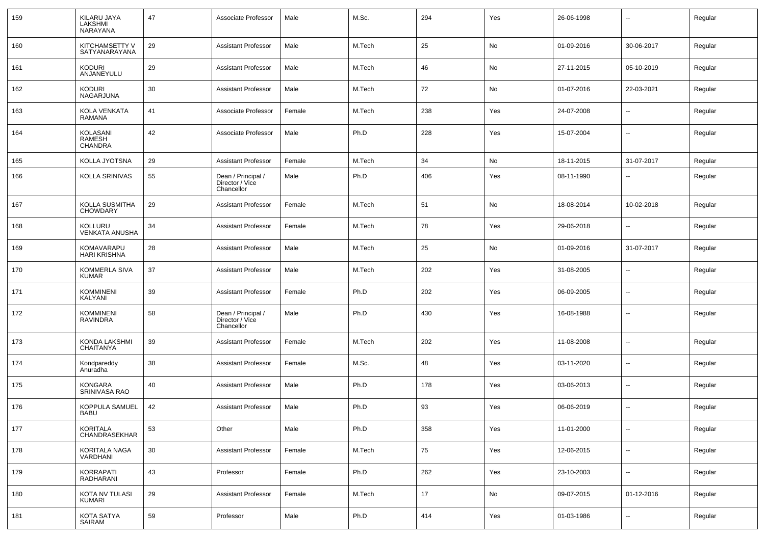| 159 | KILARU JAYA<br>LAKSHMI<br>NARAYANA                 | 47 | Associate Professor                                 | Male   | M.Sc.  | 294 | Yes | 26-06-1998 | $\overline{\phantom{a}}$ | Regular |
|-----|----------------------------------------------------|----|-----------------------------------------------------|--------|--------|-----|-----|------------|--------------------------|---------|
| 160 | KITCHAMSETTY V<br>SATYANARAYANA                    | 29 | <b>Assistant Professor</b>                          | Male   | M.Tech | 25  | No  | 01-09-2016 | 30-06-2017               | Regular |
| 161 | <b>KODURI</b><br>ANJANEYULU                        | 29 | <b>Assistant Professor</b>                          | Male   | M.Tech | 46  | No  | 27-11-2015 | 05-10-2019               | Regular |
| 162 | <b>KODURI</b><br>NAGARJUNA                         | 30 | <b>Assistant Professor</b>                          | Male   | M.Tech | 72  | No  | 01-07-2016 | 22-03-2021               | Regular |
| 163 | <b>KOLA VENKATA</b><br>RAMANA                      | 41 | Associate Professor                                 | Female | M.Tech | 238 | Yes | 24-07-2008 | $\mathbf{u}$             | Regular |
| 164 | <b>KOLASANI</b><br><b>RAMESH</b><br><b>CHANDRA</b> | 42 | Associate Professor                                 | Male   | Ph.D   | 228 | Yes | 15-07-2004 | $\mathbf{u}$             | Regular |
| 165 | KOLLA JYOTSNA                                      | 29 | <b>Assistant Professor</b>                          | Female | M.Tech | 34  | No  | 18-11-2015 | 31-07-2017               | Regular |
| 166 | KOLLA SRINIVAS                                     | 55 | Dean / Principal /<br>Director / Vice<br>Chancellor | Male   | Ph.D   | 406 | Yes | 08-11-1990 | $\mathbf{u}$             | Regular |
| 167 | KOLLA SUSMITHA<br><b>CHOWDARY</b>                  | 29 | <b>Assistant Professor</b>                          | Female | M.Tech | 51  | No  | 18-08-2014 | 10-02-2018               | Regular |
| 168 | <b>KOLLURU</b><br><b>VENKATA ANUSHA</b>            | 34 | <b>Assistant Professor</b>                          | Female | M.Tech | 78  | Yes | 29-06-2018 |                          | Regular |
| 169 | KOMAVARAPU<br>HARI KRISHNA                         | 28 | <b>Assistant Professor</b>                          | Male   | M.Tech | 25  | No  | 01-09-2016 | 31-07-2017               | Regular |
| 170 | <b>KOMMERLA SIVA</b><br><b>KUMAR</b>               | 37 | <b>Assistant Professor</b>                          | Male   | M.Tech | 202 | Yes | 31-08-2005 | --                       | Regular |
| 171 | <b>KOMMINENI</b><br>KALYANI                        | 39 | <b>Assistant Professor</b>                          | Female | Ph.D   | 202 | Yes | 06-09-2005 | --                       | Regular |
| 172 | <b>KOMMINENI</b><br><b>RAVINDRA</b>                | 58 | Dean / Principal /<br>Director / Vice<br>Chancellor | Male   | Ph.D   | 430 | Yes | 16-08-1988 |                          | Regular |
| 173 | KONDA LAKSHMI<br><b>CHAITANYA</b>                  | 39 | <b>Assistant Professor</b>                          | Female | M.Tech | 202 | Yes | 11-08-2008 | $\overline{a}$           | Regular |
| 174 | Kondpareddy<br>Anuradha                            | 38 | <b>Assistant Professor</b>                          | Female | M.Sc.  | 48  | Yes | 03-11-2020 | $\overline{\phantom{a}}$ | Regular |
| 175 | <b>KONGARA</b><br>SRINIVASA RAO                    | 40 | <b>Assistant Professor</b>                          | Male   | Ph.D   | 178 | Yes | 03-06-2013 | $\overline{\phantom{a}}$ | Regular |
| 176 | KOPPULA SAMUEL<br><b>BABU</b>                      | 42 | <b>Assistant Professor</b>                          | Male   | Ph.D   | 93  | Yes | 06-06-2019 | $\overline{a}$           | Regular |
| 177 | KORITALA<br>CHANDRASEKHAR                          | 53 | Other                                               | Male   | Ph.D   | 358 | Yes | 11-01-2000 | --                       | Regular |
| 178 | KORITALA NAGA<br>VARDHANI                          | 30 | <b>Assistant Professor</b>                          | Female | M.Tech | 75  | Yes | 12-06-2015 | $\overline{\phantom{a}}$ | Regular |
| 179 | <b>KORRAPATI</b><br>RADHARANI                      | 43 | Professor                                           | Female | Ph.D   | 262 | Yes | 23-10-2003 | $\sim$                   | Regular |
| 180 | KOTA NV TULASI<br><b>KUMARI</b>                    | 29 | <b>Assistant Professor</b>                          | Female | M.Tech | 17  | No  | 09-07-2015 | 01-12-2016               | Regular |
| 181 | KOTA SATYA<br>SAIRAM                               | 59 | Professor                                           | Male   | Ph.D   | 414 | Yes | 01-03-1986 | $\sim$                   | Regular |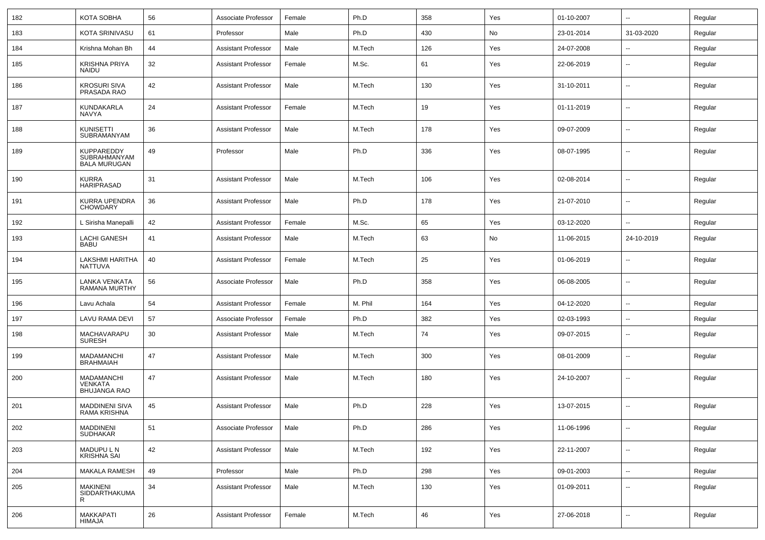| 182 | KOTA SOBHA                                                 | 56 | Associate Professor        | Female | Ph.D    | 358 | Yes | 01-10-2007 | $\sim$                   | Regular |
|-----|------------------------------------------------------------|----|----------------------------|--------|---------|-----|-----|------------|--------------------------|---------|
| 183 | <b>KOTA SRINIVASU</b>                                      | 61 | Professor                  | Male   | Ph.D    | 430 | No  | 23-01-2014 | 31-03-2020               | Regular |
| 184 | Krishna Mohan Bh                                           | 44 | <b>Assistant Professor</b> | Male   | M.Tech  | 126 | Yes | 24-07-2008 |                          | Regular |
| 185 | <b>KRISHNA PRIYA</b><br>NAIDU                              | 32 | <b>Assistant Professor</b> | Female | M.Sc.   | 61  | Yes | 22-06-2019 | --                       | Regular |
| 186 | <b>KROSURI SIVA</b><br>PRASADA RAO                         | 42 | <b>Assistant Professor</b> | Male   | M.Tech  | 130 | Yes | 31-10-2011 | $\overline{\phantom{a}}$ | Regular |
| 187 | KUNDAKARLA<br>NAVYA                                        | 24 | <b>Assistant Professor</b> | Female | M.Tech  | 19  | Yes | 01-11-2019 | --                       | Regular |
| 188 | <b>KUNISETTI</b><br>SUBRAMANYAM                            | 36 | <b>Assistant Professor</b> | Male   | M.Tech  | 178 | Yes | 09-07-2009 | $\overline{\phantom{a}}$ | Regular |
| 189 | KUPPAREDDY<br><b>SUBRAHMANYAM</b><br><b>BALA MURUGAN</b>   | 49 | Professor                  | Male   | Ph.D    | 336 | Yes | 08-07-1995 | --                       | Regular |
| 190 | <b>KURRA</b><br><b>HARIPRASAD</b>                          | 31 | <b>Assistant Professor</b> | Male   | M.Tech  | 106 | Yes | 02-08-2014 | $\overline{\phantom{a}}$ | Regular |
| 191 | KURRA UPENDRA<br><b>CHOWDARY</b>                           | 36 | <b>Assistant Professor</b> | Male   | Ph.D    | 178 | Yes | 21-07-2010 | $\overline{\phantom{a}}$ | Regular |
| 192 | L Sirisha Manepalli                                        | 42 | <b>Assistant Professor</b> | Female | M.Sc.   | 65  | Yes | 03-12-2020 | $\overline{a}$           | Regular |
| 193 | <b>LACHI GANESH</b><br><b>BABU</b>                         | 41 | <b>Assistant Professor</b> | Male   | M.Tech  | 63  | No  | 11-06-2015 | 24-10-2019               | Regular |
| 194 | LAKSHMI HARITHA<br>NATTUVA                                 | 40 | <b>Assistant Professor</b> | Female | M.Tech  | 25  | Yes | 01-06-2019 | --                       | Regular |
| 195 | LANKA VENKATA<br>RAMANA MURTHY                             | 56 | Associate Professor        | Male   | Ph.D    | 358 | Yes | 06-08-2005 | $\overline{\phantom{a}}$ | Regular |
| 196 | Lavu Achala                                                | 54 | <b>Assistant Professor</b> | Female | M. Phil | 164 | Yes | 04-12-2020 | $\overline{\phantom{a}}$ | Regular |
| 197 | <b>LAVU RAMA DEVI</b>                                      | 57 | Associate Professor        | Female | Ph.D    | 382 | Yes | 02-03-1993 | --                       | Regular |
| 198 | MACHAVARAPU<br><b>SURESH</b>                               | 30 | <b>Assistant Professor</b> | Male   | M.Tech  | 74  | Yes | 09-07-2015 | --                       | Regular |
| 199 | MADAMANCHI<br><b>BRAHMAIAH</b>                             | 47 | <b>Assistant Professor</b> | Male   | M.Tech  | 300 | Yes | 08-01-2009 | $\overline{a}$           | Regular |
| 200 | <b>MADAMANCHI</b><br><b>VENKATA</b><br><b>BHUJANGA RAO</b> | 47 | <b>Assistant Professor</b> | Male   | M.Tech  | 180 | Yes | 24-10-2007 | --                       | Regular |
| 201 | <b>MADDINENI SIVA</b><br>RAMA KRISHNA                      | 45 | <b>Assistant Professor</b> | Male   | Ph.D    | 228 | Yes | 13-07-2015 |                          | Regular |
| 202 | MADDINENI<br><b>SUDHAKAR</b>                               | 51 | Associate Professor        | Male   | Ph.D    | 286 | Yes | 11-06-1996 | $\overline{\phantom{a}}$ | Regular |
| 203 | MADUPU L N<br><b>KRISHNA SAI</b>                           | 42 | <b>Assistant Professor</b> | Male   | M.Tech  | 192 | Yes | 22-11-2007 | $\mathbf{u}$             | Regular |
| 204 | MAKALA RAMESH                                              | 49 | Professor                  | Male   | Ph.D    | 298 | Yes | 09-01-2003 | $\sim$                   | Regular |
| 205 | <b>MAKINENI</b><br>SIDDARTHAKUMA<br>R                      | 34 | <b>Assistant Professor</b> | Male   | M.Tech  | 130 | Yes | 01-09-2011 | $\mathbf{u}$             | Regular |
| 206 | <b>MAKKAPATI</b><br>HIMAJA                                 | 26 | <b>Assistant Professor</b> | Female | M.Tech  | 46  | Yes | 27-06-2018 | $\overline{\phantom{a}}$ | Regular |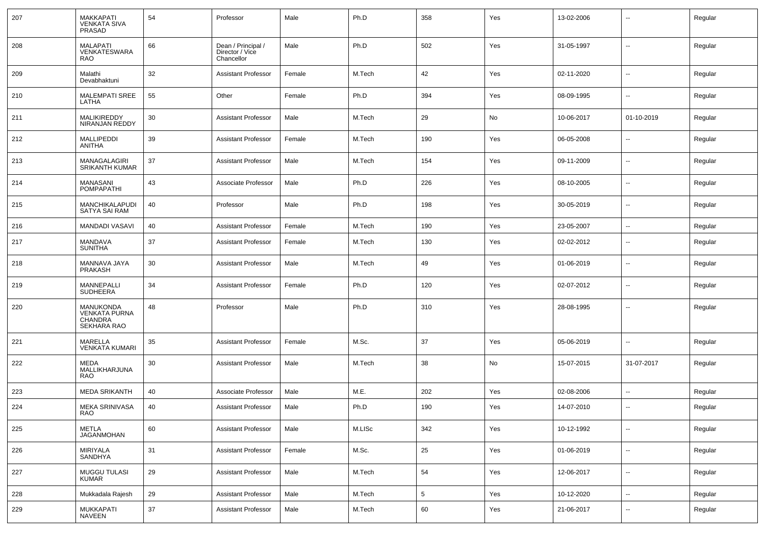| 207 | MAKKAPATI<br><b>VENKATA SIVA</b><br>PRASAD                  | 54 | Professor                                           | Male   | Ph.D   | 358             | Yes | 13-02-2006 | $\overline{\phantom{a}}$ | Regular |
|-----|-------------------------------------------------------------|----|-----------------------------------------------------|--------|--------|-----------------|-----|------------|--------------------------|---------|
| 208 | <b>MALAPATI</b><br><b>VENKATESWARA</b><br><b>RAO</b>        | 66 | Dean / Principal /<br>Director / Vice<br>Chancellor | Male   | Ph.D   | 502             | Yes | 31-05-1997 | $\overline{\phantom{a}}$ | Regular |
| 209 | Malathi<br>Devabhaktuni                                     | 32 | <b>Assistant Professor</b>                          | Female | M.Tech | 42              | Yes | 02-11-2020 | $\overline{\phantom{a}}$ | Regular |
| 210 | <b>MALEMPATI SREE</b><br>LATHA                              | 55 | Other                                               | Female | Ph.D   | 394             | Yes | 08-09-1995 | --                       | Regular |
| 211 | MALIKIREDDY<br>NIRANJAN REDDY                               | 30 | <b>Assistant Professor</b>                          | Male   | M.Tech | 29              | No  | 10-06-2017 | 01-10-2019               | Regular |
| 212 | <b>MALLIPEDDI</b><br>ANITHA                                 | 39 | <b>Assistant Professor</b>                          | Female | M.Tech | 190             | Yes | 06-05-2008 | $\overline{a}$           | Regular |
| 213 | MANAGALAGIRI<br><b>SRIKANTH KUMAR</b>                       | 37 | <b>Assistant Professor</b>                          | Male   | M.Tech | 154             | Yes | 09-11-2009 | --                       | Regular |
| 214 | <b>MANASANI</b><br><b>POMPAPATHI</b>                        | 43 | Associate Professor                                 | Male   | Ph.D   | 226             | Yes | 08-10-2005 | $\overline{a}$           | Regular |
| 215 | MANCHIKALAPUDI<br><b>SATYA SAI RAM</b>                      | 40 | Professor                                           | Male   | Ph.D   | 198             | Yes | 30-05-2019 | --                       | Regular |
| 216 | <b>MANDADI VASAVI</b>                                       | 40 | Assistant Professor                                 | Female | M.Tech | 190             | Yes | 23-05-2007 | $\overline{\phantom{a}}$ | Regular |
| 217 | <b>MANDAVA</b><br><b>SUNITHA</b>                            | 37 | <b>Assistant Professor</b>                          | Female | M.Tech | 130             | Yes | 02-02-2012 | $\overline{\phantom{a}}$ | Regular |
| 218 | MANNAVA JAYA<br><b>PRAKASH</b>                              | 30 | <b>Assistant Professor</b>                          | Male   | M.Tech | 49              | Yes | 01-06-2019 | $\mathbf{u}$             | Regular |
| 219 | MANNEPALLI<br><b>SUDHEERA</b>                               | 34 | Assistant Professor                                 | Female | Ph.D   | 120             | Yes | 02-07-2012 | $\sim$                   | Regular |
| 220 | MANUKONDA<br><b>VENKATA PURNA</b><br>CHANDRA<br>SEKHARA RAO | 48 | Professor                                           | Male   | Ph.D   | 310             | Yes | 28-08-1995 | $\mathbf{u}$             | Regular |
| 221 | MARELLA<br><b>VENKATA KUMARI</b>                            | 35 | <b>Assistant Professor</b>                          | Female | M.Sc.  | 37              | Yes | 05-06-2019 | $-$                      | Regular |
| 222 | MEDA<br>MALLIKHARJUNA<br><b>RAO</b>                         | 30 | <b>Assistant Professor</b>                          | Male   | M.Tech | 38              | No  | 15-07-2015 | 31-07-2017               | Regular |
| 223 | <b>MEDA SRIKANTH</b>                                        | 40 | Associate Professor                                 | Male   | M.E.   | 202             | Yes | 02-08-2006 | $\overline{\phantom{a}}$ | Regular |
| 224 | <b>MEKA SRINIVASA</b><br>RAO                                | 40 | <b>Assistant Professor</b>                          | Male   | Ph.D   | 190             | Yes | 14-07-2010 | $\overline{\phantom{a}}$ | Regular |
| 225 | METLA<br>JAGANMOHAN                                         | 60 | <b>Assistant Professor</b>                          | Male   | M.LISc | 342             | Yes | 10-12-1992 | $\sim$                   | Regular |
| 226 | MIRIYALA<br>SANDHYA                                         | 31 | <b>Assistant Professor</b>                          | Female | M.Sc.  | 25              | Yes | 01-06-2019 | $\sim$                   | Regular |
| 227 | <b>MUGGU TULASI</b><br><b>KUMAR</b>                         | 29 | <b>Assistant Professor</b>                          | Male   | M.Tech | 54              | Yes | 12-06-2017 | $\sim$                   | Regular |
| 228 | Mukkadala Rajesh                                            | 29 | <b>Assistant Professor</b>                          | Male   | M.Tech | $5\phantom{.0}$ | Yes | 10-12-2020 | $\sim$                   | Regular |
| 229 | MUKKAPATI<br>NAVEEN                                         | 37 | <b>Assistant Professor</b>                          | Male   | M.Tech | 60              | Yes | 21-06-2017 | --                       | Regular |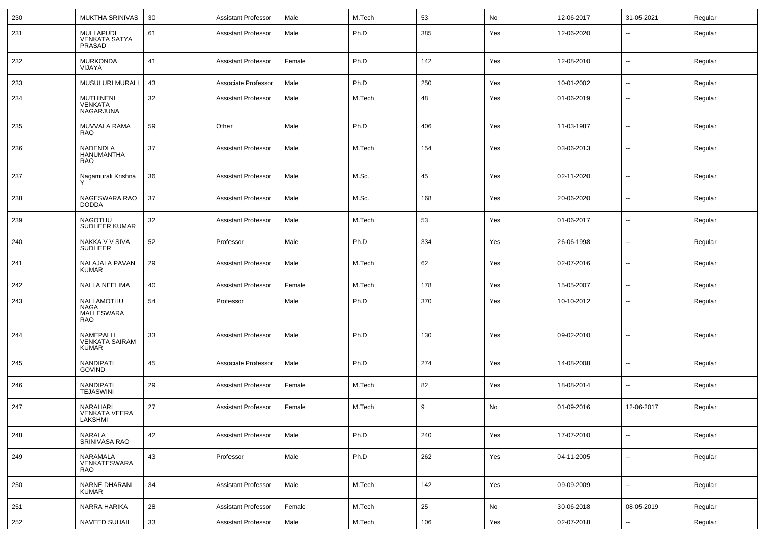| 230 | MUKTHA SRINIVAS                                        | 30 | <b>Assistant Professor</b> | Male   | M.Tech | 53  | No  | 12-06-2017 | 31-05-2021               | Regular |
|-----|--------------------------------------------------------|----|----------------------------|--------|--------|-----|-----|------------|--------------------------|---------|
| 231 | <b>MULLAPUDI</b><br><b>VENKATA SATYA</b><br>PRASAD     | 61 | <b>Assistant Professor</b> | Male   | Ph.D   | 385 | Yes | 12-06-2020 | $\sim$                   | Regular |
| 232 | <b>MURKONDA</b><br>VIJAYA                              | 41 | <b>Assistant Professor</b> | Female | Ph.D   | 142 | Yes | 12-08-2010 | $\sim$                   | Regular |
| 233 | MUSULURI MURALI                                        | 43 | Associate Professor        | Male   | Ph.D   | 250 | Yes | 10-01-2002 | $\sim$                   | Regular |
| 234 | <b>MUTHINENI</b><br><b>VENKATA</b><br><b>NAGARJUNA</b> | 32 | <b>Assistant Professor</b> | Male   | M.Tech | 48  | Yes | 01-06-2019 | $\overline{\phantom{a}}$ | Regular |
| 235 | MUVVALA RAMA<br><b>RAO</b>                             | 59 | Other                      | Male   | Ph.D   | 406 | Yes | 11-03-1987 | $\sim$                   | Regular |
| 236 | NADENDLA<br><b>HANUMANTHA</b><br><b>RAO</b>            | 37 | <b>Assistant Professor</b> | Male   | M.Tech | 154 | Yes | 03-06-2013 | $\sim$                   | Regular |
| 237 | Nagamurali Krishna                                     | 36 | <b>Assistant Professor</b> | Male   | M.Sc.  | 45  | Yes | 02-11-2020 | $\sim$                   | Regular |
| 238 | NAGESWARA RAO<br><b>DODDA</b>                          | 37 | <b>Assistant Professor</b> | Male   | M.Sc.  | 168 | Yes | 20-06-2020 | $\sim$                   | Regular |
| 239 | <b>NAGOTHU</b><br>SUDHEER KUMAR                        | 32 | <b>Assistant Professor</b> | Male   | M.Tech | 53  | Yes | 01-06-2017 | $\overline{\phantom{a}}$ | Regular |
| 240 | NAKKA V V SIVA<br><b>SUDHEER</b>                       | 52 | Professor                  | Male   | Ph.D   | 334 | Yes | 26-06-1998 | $\sim$                   | Regular |
| 241 | NALAJALA PAVAN<br><b>KUMAR</b>                         | 29 | <b>Assistant Professor</b> | Male   | M.Tech | 62  | Yes | 02-07-2016 | $\overline{\phantom{a}}$ | Regular |
| 242 | <b>NALLA NEELIMA</b>                                   | 40 | <b>Assistant Professor</b> | Female | M.Tech | 178 | Yes | 15-05-2007 | $\sim$                   | Regular |
| 243 | NALLAMOTHU<br><b>NAGA</b><br>MALLESWARA<br>RAO         | 54 | Professor                  | Male   | Ph.D   | 370 | Yes | 10-10-2012 | $\sim$                   | Regular |
| 244 | NAMEPALLI<br><b>VENKATA SAIRAM</b><br><b>KUMAR</b>     | 33 | <b>Assistant Professor</b> | Male   | Ph.D   | 130 | Yes | 09-02-2010 | $\sim$                   | Regular |
| 245 | NANDIPATI<br><b>GOVIND</b>                             | 45 | Associate Professor        | Male   | Ph.D   | 274 | Yes | 14-08-2008 | $\overline{\phantom{a}}$ | Regular |
| 246 | NANDIPATI<br><b>TEJASWINI</b>                          | 29 | <b>Assistant Professor</b> | Female | M.Tech | 82  | Yes | 18-08-2014 | $\sim$                   | Regular |
| 247 | <b>NARAHARI</b><br><b>VENKATA VEERA</b><br>LAKSHMI     | 27 | <b>Assistant Professor</b> | Female | M.Tech | 9   | No  | 01-09-2016 | 12-06-2017               | Regular |
| 248 | NARALA<br>SRINIVASA RAO                                | 42 | Assistant Professor        | Male   | Ph.D   | 240 | Yes | 17-07-2010 | $\sim$                   | Regular |
| 249 | NARAMALA<br>VENKATESWARA<br><b>RAO</b>                 | 43 | Professor                  | Male   | Ph.D   | 262 | Yes | 04-11-2005 | $\sim$                   | Regular |
| 250 | NARNE DHARANI<br><b>KUMAR</b>                          | 34 | <b>Assistant Professor</b> | Male   | M.Tech | 142 | Yes | 09-09-2009 | $\sim$                   | Regular |
| 251 | NARRA HARIKA                                           | 28 | <b>Assistant Professor</b> | Female | M.Tech | 25  | No  | 30-06-2018 | 08-05-2019               | Regular |
| 252 | <b>NAVEED SUHAIL</b>                                   | 33 | <b>Assistant Professor</b> | Male   | M.Tech | 106 | Yes | 02-07-2018 | $\sim$                   | Regular |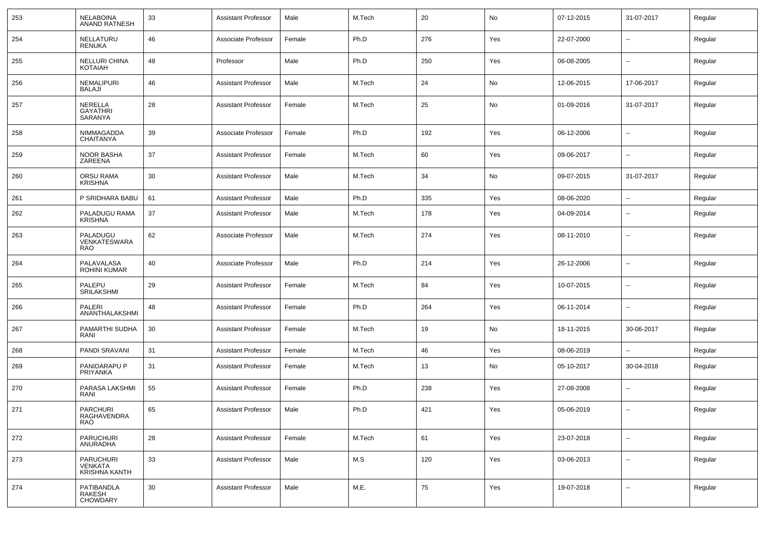| 253 | <b>NELABOINA</b><br><b>ANAND RATNESH</b>            | 33 | <b>Assistant Professor</b> | Male   | M.Tech | 20  | No  | 07-12-2015 | 31-07-2017               | Regular |
|-----|-----------------------------------------------------|----|----------------------------|--------|--------|-----|-----|------------|--------------------------|---------|
| 254 | NELLATURU<br><b>RENUKA</b>                          | 46 | Associate Professor        | Female | Ph.D   | 276 | Yes | 22-07-2000 | $\overline{\phantom{a}}$ | Regular |
| 255 | NELLURI CHINA<br><b>KOTAIAH</b>                     | 48 | Professor                  | Male   | Ph.D   | 250 | Yes | 06-08-2005 | $\overline{\phantom{a}}$ | Regular |
| 256 | <b>NEMALIPURI</b><br><b>BALAJI</b>                  | 46 | <b>Assistant Professor</b> | Male   | M.Tech | 24  | No  | 12-06-2015 | 17-06-2017               | Regular |
| 257 | NERELLA<br><b>GAYATHRI</b><br>SARANYA               | 28 | <b>Assistant Professor</b> | Female | M.Tech | 25  | No  | 01-09-2016 | 31-07-2017               | Regular |
| 258 | <b>NIMMAGADDA</b><br><b>CHAITANYA</b>               | 39 | Associate Professor        | Female | Ph.D   | 192 | Yes | 06-12-2006 | --                       | Regular |
| 259 | NOOR BASHA<br>ZAREENA                               | 37 | <b>Assistant Professor</b> | Female | M.Tech | 60  | Yes | 09-06-2017 | --                       | Regular |
| 260 | <b>ORSU RAMA</b><br><b>KRISHNA</b>                  | 30 | <b>Assistant Professor</b> | Male   | M.Tech | 34  | No  | 09-07-2015 | 31-07-2017               | Regular |
| 261 | P SRIDHARA BABU                                     | 61 | <b>Assistant Professor</b> | Male   | Ph.D   | 335 | Yes | 08-06-2020 | --                       | Regular |
| 262 | PALADUGU RAMA<br><b>KRISHNA</b>                     | 37 | <b>Assistant Professor</b> | Male   | M.Tech | 178 | Yes | 04-09-2014 | $\overline{\phantom{a}}$ | Regular |
| 263 | PALADUGU<br>VENKATESWARA<br><b>RAO</b>              | 62 | Associate Professor        | Male   | M.Tech | 274 | Yes | 08-11-2010 | $\overline{\phantom{a}}$ | Regular |
| 264 | PALAVALASA<br>ROHINI KUMAR                          | 40 | Associate Professor        | Male   | Ph.D   | 214 | Yes | 26-12-2006 | --                       | Regular |
| 265 | PALEPU<br><b>SRILAKSHMI</b>                         | 29 | <b>Assistant Professor</b> | Female | M.Tech | 84  | Yes | 10-07-2015 | $\overline{\phantom{a}}$ | Regular |
| 266 | PALERI<br>ANANTHALAKSHMI                            | 48 | <b>Assistant Professor</b> | Female | Ph.D   | 264 | Yes | 06-11-2014 | $\overline{\phantom{a}}$ | Regular |
| 267 | PAMARTHI SUDHA<br>RANI                              | 30 | <b>Assistant Professor</b> | Female | M.Tech | 19  | No  | 18-11-2015 | 30-06-2017               | Regular |
| 268 | PANDI SRAVANI                                       | 31 | <b>Assistant Professor</b> | Female | M.Tech | 46  | Yes | 08-06-2019 | н.                       | Regular |
| 269 | PANIDARAPU P<br>PRIYANKA                            | 31 | <b>Assistant Professor</b> | Female | M.Tech | 13  | No  | 05-10-2017 | 30-04-2018               | Regular |
| 270 | PARASA LAKSHMI<br>RANI                              | 55 | <b>Assistant Professor</b> | Female | Ph.D   | 238 | Yes | 27-08-2008 | --                       | Regular |
| 271 | <b>PARCHURI</b><br>RAGHAVENDRA<br><b>RAO</b>        | 65 | <b>Assistant Professor</b> | Male   | Ph.D   | 421 | Yes | 05-06-2019 | $\overline{a}$           | Regular |
| 272 | PARUCHURI<br>ANURADHA                               | 28 | <b>Assistant Professor</b> | Female | M.Tech | 61  | Yes | 23-07-2018 | $\sim$                   | Regular |
| 273 | <b>PARUCHURI</b><br>VENKATA<br><b>KRISHNA KANTH</b> | 33 | <b>Assistant Professor</b> | Male   | M.S    | 120 | Yes | 03-06-2013 | $\sim$                   | Regular |
| 274 | PATIBANDLA<br>RAKESH<br><b>CHOWDARY</b>             | 30 | <b>Assistant Professor</b> | Male   | M.E.   | 75  | Yes | 19-07-2018 | $\overline{\phantom{a}}$ | Regular |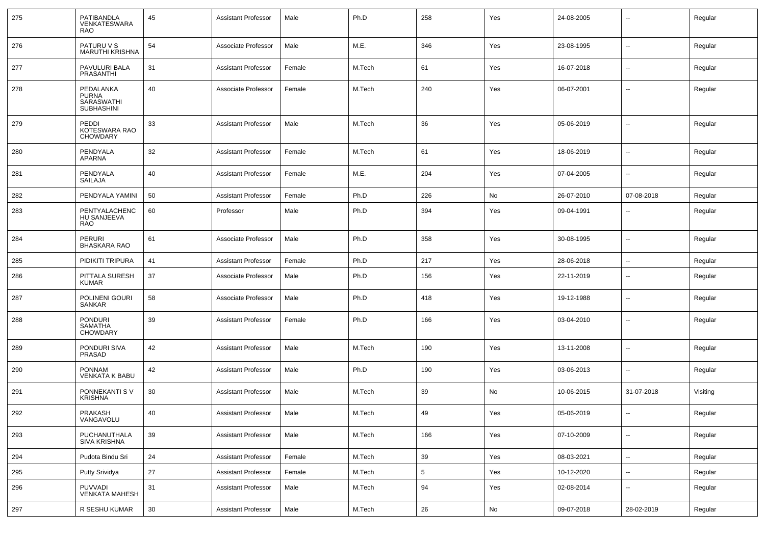| 275 | PATIBANDLA<br><b>VENKATESWARA</b><br><b>RAO</b>              | 45     | <b>Assistant Professor</b> | Male   | Ph.D   | 258        | Yes | 24-08-2005 | --                       | Regular  |
|-----|--------------------------------------------------------------|--------|----------------------------|--------|--------|------------|-----|------------|--------------------------|----------|
| 276 | PATURU V S<br><b>MARUTHI KRISHNA</b>                         | 54     | Associate Professor        | Male   | M.E.   | 346        | Yes | 23-08-1995 | Ξ.                       | Regular  |
| 277 | PAVULURI BALA<br><b>PRASANTHI</b>                            | 31     | Assistant Professor        | Female | M.Tech | 61         | Yes | 16-07-2018 | $\overline{\phantom{a}}$ | Regular  |
| 278 | PEDALANKA<br><b>PURNA</b><br>SARASWATHI<br><b>SUBHASHINI</b> | 40     | Associate Professor        | Female | M.Tech | 240        | Yes | 06-07-2001 | --                       | Regular  |
| 279 | PEDDI<br>KOTESWARA RAO<br><b>CHOWDARY</b>                    | 33     | <b>Assistant Professor</b> | Male   | M.Tech | 36         | Yes | 05-06-2019 | --                       | Regular  |
| 280 | PENDYALA<br><b>APARNA</b>                                    | 32     | <b>Assistant Professor</b> | Female | M.Tech | 61         | Yes | 18-06-2019 | --                       | Regular  |
| 281 | PENDYALA<br><b>SAILAJA</b>                                   | 40     | <b>Assistant Professor</b> | Female | M.E.   | 204        | Yes | 07-04-2005 | Ξ.                       | Regular  |
| 282 | PENDYALA YAMINI                                              | 50     | <b>Assistant Professor</b> | Female | Ph.D   | 226        | No  | 26-07-2010 | 07-08-2018               | Regular  |
| 283 | PENTYALACHENC<br>HU SANJEEVA<br><b>RAO</b>                   | 60     | Professor                  | Male   | Ph.D   | 394        | Yes | 09-04-1991 | --                       | Regular  |
| 284 | <b>PERURI</b><br><b>BHASKARA RAO</b>                         | 61     | Associate Professor        | Male   | Ph.D   | 358        | Yes | 30-08-1995 | Ξ.                       | Regular  |
| 285 | PIDIKITI TRIPURA                                             | 41     | <b>Assistant Professor</b> | Female | Ph.D   | 217        | Yes | 28-06-2018 | Ξ.                       | Regular  |
| 286 | PITTALA SURESH<br><b>KUMAR</b>                               | 37     | Associate Professor        | Male   | Ph.D   | 156        | Yes | 22-11-2019 | --                       | Regular  |
| 287 | POLINENI GOURI<br>SANKAR                                     | 58     | Associate Professor        | Male   | Ph.D   | 418        | Yes | 19-12-1988 | --                       | Regular  |
| 288 | <b>PONDURI</b><br><b>SAMATHA</b><br><b>CHOWDARY</b>          | 39     | <b>Assistant Professor</b> | Female | Ph.D   | 166        | Yes | 03-04-2010 | --                       | Regular  |
| 289 | PONDURI SIVA<br>PRASAD                                       | 42     | <b>Assistant Professor</b> | Male   | M.Tech | 190        | Yes | 13-11-2008 | -−                       | Regular  |
| 290 | <b>PONNAM</b><br><b>VENKATA K BABU</b>                       | 42     | <b>Assistant Professor</b> | Male   | Ph.D   | 190        | Yes | 03-06-2013 | --                       | Regular  |
| 291 | PONNEKANTI S V<br><b>KRISHNA</b>                             | 30     | <b>Assistant Professor</b> | Male   | M.Tech | 39         | No  | 10-06-2015 | 31-07-2018               | Visiting |
| 292 | <b>PRAKASH</b><br>VANGAVOLU                                  | 40     | <b>Assistant Professor</b> | Male   | M.Tech | 49         | Yes | 05-06-2019 | $\overline{\phantom{a}}$ | Regular  |
| 293 | PUCHANUTHALA<br>SIVA KRISHNA                                 | 39     | <b>Assistant Professor</b> | Male   | M.Tech | 166        | Yes | 07-10-2009 | ⊷.                       | Regular  |
| 294 | Pudota Bindu Sri                                             | 24     | <b>Assistant Professor</b> | Female | M.Tech | 39         | Yes | 08-03-2021 | $\sim$                   | Regular  |
| 295 | Putty Srividya                                               | 27     | <b>Assistant Professor</b> | Female | M.Tech | $\sqrt{5}$ | Yes | 10-12-2020 | $\sim$                   | Regular  |
| 296 | <b>PUVVADI</b><br><b>VENKATA MAHESH</b>                      | 31     | <b>Assistant Professor</b> | Male   | M.Tech | 94         | Yes | 02-08-2014 | Щ,                       | Regular  |
| 297 | R SESHU KUMAR                                                | $30\,$ | <b>Assistant Professor</b> | Male   | M.Tech | 26         | No  | 09-07-2018 | 28-02-2019               | Regular  |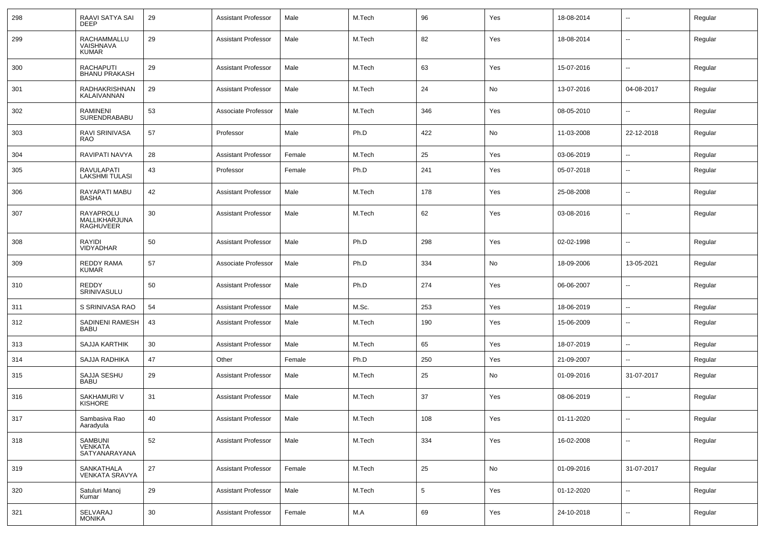| 298 | RAAVI SATYA SAI<br><b>DEEP</b>                 | 29     | <b>Assistant Professor</b> | Male   | M.Tech | 96              | Yes | 18-08-2014 | $\overline{\phantom{a}}$ | Regular |
|-----|------------------------------------------------|--------|----------------------------|--------|--------|-----------------|-----|------------|--------------------------|---------|
| 299 | RACHAMMALLU<br>VAISHNAVA<br><b>KUMAR</b>       | 29     | Assistant Professor        | Male   | M.Tech | 82              | Yes | 18-08-2014 | $\mathbf{u}$             | Regular |
| 300 | <b>RACHAPUTI</b><br><b>BHANU PRAKASH</b>       | 29     | <b>Assistant Professor</b> | Male   | M.Tech | 63              | Yes | 15-07-2016 | $\mathbf{u}$             | Regular |
| 301 | RADHAKRISHNAN<br>KALAIVANNAN                   | 29     | <b>Assistant Professor</b> | Male   | M.Tech | 24              | No  | 13-07-2016 | 04-08-2017               | Regular |
| 302 | RAMINENI<br>SURENDRABABU                       | 53     | Associate Professor        | Male   | M.Tech | 346             | Yes | 08-05-2010 | $\overline{\phantom{a}}$ | Regular |
| 303 | <b>RAVI SRINIVASA</b><br><b>RAO</b>            | 57     | Professor                  | Male   | Ph.D   | 422             | No  | 11-03-2008 | 22-12-2018               | Regular |
| 304 | RAVIPATI NAVYA                                 | 28     | <b>Assistant Professor</b> | Female | M.Tech | 25              | Yes | 03-06-2019 | $\sim$                   | Regular |
| 305 | RAVULAPATI<br><b>LAKSHMI TULASI</b>            | 43     | Professor                  | Female | Ph.D   | 241             | Yes | 05-07-2018 | $\sim$                   | Regular |
| 306 | <b>RAYAPATI MABU</b><br><b>BASHA</b>           | 42     | <b>Assistant Professor</b> | Male   | M.Tech | 178             | Yes | 25-08-2008 | $\mathbf{u}$             | Regular |
| 307 | RAYAPROLU<br>MALLIKHARJUNA<br><b>RAGHUVEER</b> | 30     | Assistant Professor        | Male   | M.Tech | 62              | Yes | 03-08-2016 | $\sim$                   | Regular |
| 308 | RAYIDI<br>VIDYADHAR                            | 50     | <b>Assistant Professor</b> | Male   | Ph.D   | 298             | Yes | 02-02-1998 | $\mathbf{u}$             | Regular |
| 309 | <b>REDDY RAMA</b><br><b>KUMAR</b>              | 57     | Associate Professor        | Male   | Ph.D   | 334             | No  | 18-09-2006 | 13-05-2021               | Regular |
| 310 | <b>REDDY</b><br>SRINIVASULU                    | 50     | <b>Assistant Professor</b> | Male   | Ph.D   | 274             | Yes | 06-06-2007 | $\mathbf{u}$             | Regular |
| 311 | S SRINIVASA RAO                                | 54     | <b>Assistant Professor</b> | Male   | M.Sc.  | 253             | Yes | 18-06-2019 | $\sim$                   | Regular |
| 312 | SADINENI RAMESH<br><b>BABU</b>                 | 43     | Assistant Professor        | Male   | M.Tech | 190             | Yes | 15-06-2009 | $\mathbf{u}$             | Regular |
| 313 | <b>SAJJA KARTHIK</b>                           | 30     | <b>Assistant Professor</b> | Male   | M.Tech | 65              | Yes | 18-07-2019 | $\sim$                   | Regular |
| 314 | SAJJA RADHIKA                                  | 47     | Other                      | Female | Ph.D   | 250             | Yes | 21-09-2007 | $\overline{a}$           | Regular |
| 315 | SAJJA SESHU<br><b>BABU</b>                     | 29     | <b>Assistant Professor</b> | Male   | M.Tech | 25              | No  | 01-09-2016 | 31-07-2017               | Regular |
| 316 | SAKHAMURI V<br><b>KISHORE</b>                  | 31     | <b>Assistant Professor</b> | Male   | M.Tech | 37              | Yes | 08-06-2019 | $\overline{\phantom{a}}$ | Regular |
| 317 | Sambasiva Rao<br>Aaradyula                     | 40     | Assistant Professor        | Male   | M.Tech | 108             | Yes | 01-11-2020 | $\overline{\phantom{a}}$ | Regular |
| 318 | SAMBUNI<br>VENKATA<br>SATYANARAYANA            | 52     | <b>Assistant Professor</b> | Male   | M.Tech | 334             | Yes | 16-02-2008 | $\sim$                   | Regular |
| 319 | SANKATHALA<br>VENKATA SRAVYA                   | 27     | <b>Assistant Professor</b> | Female | M.Tech | 25              | No  | 01-09-2016 | 31-07-2017               | Regular |
| 320 | Satuluri Manoj<br>Kumar                        | 29     | <b>Assistant Professor</b> | Male   | M.Tech | $5\phantom{.0}$ | Yes | 01-12-2020 | $\sim$                   | Regular |
| 321 | SELVARAJ<br><b>MONIKA</b>                      | $30\,$ | <b>Assistant Professor</b> | Female | M.A    | 69              | Yes | 24-10-2018 | $\sim$                   | Regular |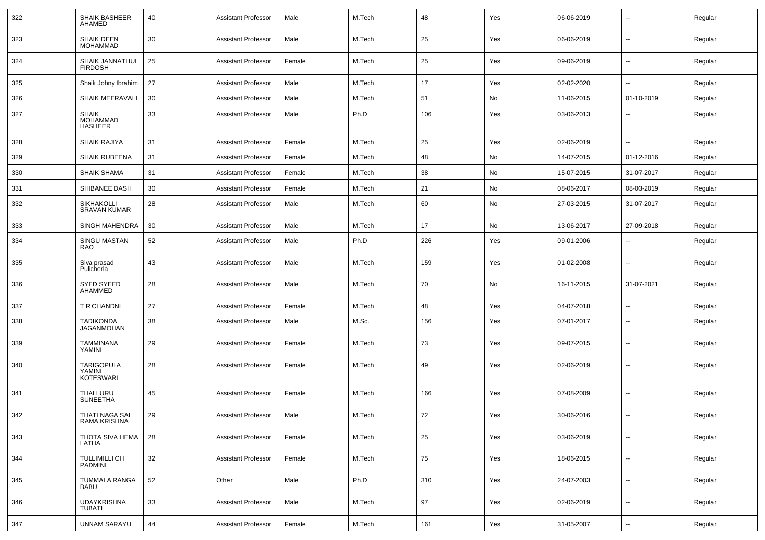| 322 | SHAIK BASHEER<br>AHAMED                           | 40 | <b>Assistant Professor</b> | Male   | M.Tech | 48  | Yes | 06-06-2019 | $\overline{\phantom{a}}$ | Regular |
|-----|---------------------------------------------------|----|----------------------------|--------|--------|-----|-----|------------|--------------------------|---------|
| 323 | SHAIK DEEN<br><b>MOHAMMAD</b>                     | 30 | <b>Assistant Professor</b> | Male   | M.Tech | 25  | Yes | 06-06-2019 | $\sim$                   | Regular |
| 324 | SHAIK JANNATHUL<br><b>FIRDOSH</b>                 | 25 | <b>Assistant Professor</b> | Female | M.Tech | 25  | Yes | 09-06-2019 | $\sim$                   | Regular |
| 325 | Shaik Johny Ibrahim                               | 27 | <b>Assistant Professor</b> | Male   | M.Tech | 17  | Yes | 02-02-2020 | $\sim$                   | Regular |
| 326 | <b>SHAIK MEERAVALI</b>                            | 30 | <b>Assistant Professor</b> | Male   | M.Tech | 51  | No  | 11-06-2015 | 01-10-2019               | Regular |
| 327 | <b>SHAIK</b><br><b>MOHAMMAD</b><br><b>HASHEER</b> | 33 | <b>Assistant Professor</b> | Male   | Ph.D   | 106 | Yes | 03-06-2013 | $\overline{\phantom{a}}$ | Regular |
| 328 | <b>SHAIK RAJIYA</b>                               | 31 | <b>Assistant Professor</b> | Female | M.Tech | 25  | Yes | 02-06-2019 | $\mathbf{u}$             | Regular |
| 329 | <b>SHAIK RUBEENA</b>                              | 31 | <b>Assistant Professor</b> | Female | M.Tech | 48  | No  | 14-07-2015 | 01-12-2016               | Regular |
| 330 | <b>SHAIK SHAMA</b>                                | 31 | <b>Assistant Professor</b> | Female | M.Tech | 38  | No  | 15-07-2015 | 31-07-2017               | Regular |
| 331 | SHIBANEE DASH                                     | 30 | <b>Assistant Professor</b> | Female | M.Tech | 21  | No  | 08-06-2017 | 08-03-2019               | Regular |
| 332 | <b>SIKHAKOLLI</b><br><b>SRAVAN KUMAR</b>          | 28 | <b>Assistant Professor</b> | Male   | M.Tech | 60  | No  | 27-03-2015 | 31-07-2017               | Regular |
| 333 | <b>SINGH MAHENDRA</b>                             | 30 | <b>Assistant Professor</b> | Male   | M.Tech | 17  | No  | 13-06-2017 | 27-09-2018               | Regular |
| 334 | SINGU MASTAN<br><b>RAO</b>                        | 52 | <b>Assistant Professor</b> | Male   | Ph.D   | 226 | Yes | 09-01-2006 | $\sim$                   | Regular |
| 335 | Siva prasad<br>Pulicherla                         | 43 | <b>Assistant Professor</b> | Male   | M.Tech | 159 | Yes | 01-02-2008 | $\overline{\phantom{a}}$ | Regular |
| 336 | <b>SYED SYEED</b><br>AHAMMED                      | 28 | <b>Assistant Professor</b> | Male   | M.Tech | 70  | No  | 16-11-2015 | 31-07-2021               | Regular |
| 337 | T R CHANDNI                                       | 27 | <b>Assistant Professor</b> | Female | M.Tech | 48  | Yes | 04-07-2018 | $\sim$                   | Regular |
| 338 | TADIKONDA<br><b>JAGANMOHAN</b>                    | 38 | <b>Assistant Professor</b> | Male   | M.Sc.  | 156 | Yes | 07-01-2017 | $\mathbf{u}$             | Regular |
| 339 | TAMMINANA<br>YAMINI                               | 29 | <b>Assistant Professor</b> | Female | M.Tech | 73  | Yes | 09-07-2015 | $\overline{\phantom{a}}$ | Regular |
| 340 | <b>TARIGOPULA</b><br>YAMINI<br><b>KOTESWARI</b>   | 28 | <b>Assistant Professor</b> | Female | M.Tech | 49  | Yes | 02-06-2019 | $\overline{\phantom{a}}$ | Regular |
| 341 | THALLURU<br><b>SUNEETHA</b>                       | 45 | <b>Assistant Professor</b> | Female | M.Tech | 166 | Yes | 07-08-2009 | $\mathbf{u}$             | Regular |
| 342 | THATI NAGA SAI<br>RAMA KRISHNA                    | 29 | <b>Assistant Professor</b> | Male   | M.Tech | 72  | Yes | 30-06-2016 | --                       | Regular |
| 343 | THOTA SIVA HEMA<br>LATHA                          | 28 | <b>Assistant Professor</b> | Female | M.Tech | 25  | Yes | 03-06-2019 | $\sim$                   | Regular |
| 344 | TULLIMILLI CH<br>PADMINI                          | 32 | <b>Assistant Professor</b> | Female | M.Tech | 75  | Yes | 18-06-2015 | $\sim$                   | Regular |
| 345 | TUMMALA RANGA<br><b>BABU</b>                      | 52 | Other                      | Male   | Ph.D   | 310 | Yes | 24-07-2003 | $\sim$                   | Regular |
| 346 | <b>UDAYKRISHNA</b><br><b>TUBATI</b>               | 33 | <b>Assistant Professor</b> | Male   | M.Tech | 97  | Yes | 02-06-2019 | $\sim$                   | Regular |
| 347 | <b>UNNAM SARAYU</b>                               | 44 | Assistant Professor        | Female | M.Tech | 161 | Yes | 31-05-2007 | $\sim$                   | Regular |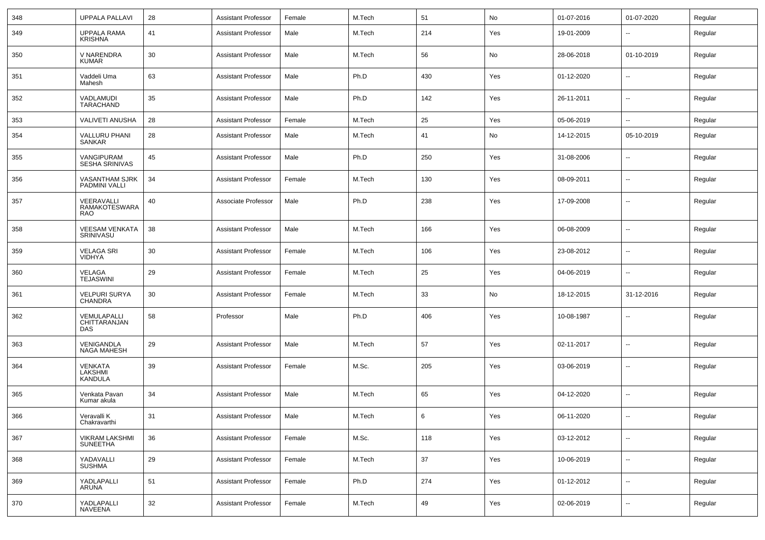| 348 | <b>UPPALA PALLAVI</b>                            | 28 | <b>Assistant Professor</b> | Female | M.Tech | 51  | No  | 01-07-2016 | 01-07-2020               | Regular |
|-----|--------------------------------------------------|----|----------------------------|--------|--------|-----|-----|------------|--------------------------|---------|
| 349 | <b>UPPALA RAMA</b><br><b>KRISHNA</b>             | 41 | <b>Assistant Professor</b> | Male   | M.Tech | 214 | Yes | 19-01-2009 | --                       | Regular |
| 350 | V NARENDRA<br><b>KUMAR</b>                       | 30 | <b>Assistant Professor</b> | Male   | M.Tech | 56  | No  | 28-06-2018 | 01-10-2019               | Regular |
| 351 | Vaddeli Uma<br>Mahesh                            | 63 | <b>Assistant Professor</b> | Male   | Ph.D   | 430 | Yes | 01-12-2020 | $\overline{\phantom{a}}$ | Regular |
| 352 | VADLAMUDI<br><b>TARACHAND</b>                    | 35 | <b>Assistant Professor</b> | Male   | Ph.D   | 142 | Yes | 26-11-2011 | Ш,                       | Regular |
| 353 | VALIVETI ANUSHA                                  | 28 | <b>Assistant Professor</b> | Female | M.Tech | 25  | Yes | 05-06-2019 | --                       | Regular |
| 354 | VALLURU PHANI<br><b>SANKAR</b>                   | 28 | <b>Assistant Professor</b> | Male   | M.Tech | 41  | No  | 14-12-2015 | 05-10-2019               | Regular |
| 355 | VANGIPURAM<br><b>SESHA SRINIVAS</b>              | 45 | <b>Assistant Professor</b> | Male   | Ph.D   | 250 | Yes | 31-08-2006 | ⊷.                       | Regular |
| 356 | <b>VASANTHAM SJRK</b><br><b>PADMINI VALLI</b>    | 34 | <b>Assistant Professor</b> | Female | M.Tech | 130 | Yes | 08-09-2011 | --                       | Regular |
| 357 | VEERAVALLI<br><b>RAMAKOTESWARA</b><br><b>RAO</b> | 40 | Associate Professor        | Male   | Ph.D   | 238 | Yes | 17-09-2008 | $\overline{\phantom{a}}$ | Regular |
| 358 | <b>VEESAM VENKATA</b><br>SRINIVASU               | 38 | <b>Assistant Professor</b> | Male   | M.Tech | 166 | Yes | 06-08-2009 | Ш,                       | Regular |
| 359 | <b>VELAGA SRI</b><br><b>VIDHYA</b>               | 30 | <b>Assistant Professor</b> | Female | M.Tech | 106 | Yes | 23-08-2012 | --                       | Regular |
| 360 | VELAGA<br><b>TEJASWINI</b>                       | 29 | <b>Assistant Professor</b> | Female | M.Tech | 25  | Yes | 04-06-2019 | $\overline{a}$           | Regular |
| 361 | <b>VELPURI SURYA</b><br><b>CHANDRA</b>           | 30 | <b>Assistant Professor</b> | Female | M.Tech | 33  | No  | 18-12-2015 | 31-12-2016               | Regular |
| 362 | VEMULAPALLI<br>CHITTARANJAN<br>DAS               | 58 | Professor                  | Male   | Ph.D   | 406 | Yes | 10-08-1987 | --                       | Regular |
| 363 | VENIGANDLA<br><b>NAGA MAHESH</b>                 | 29 | <b>Assistant Professor</b> | Male   | M.Tech | 57  | Yes | 02-11-2017 | -−                       | Regular |
| 364 | <b>VENKATA</b><br>LAKSHMI<br><b>KANDULA</b>      | 39 | <b>Assistant Professor</b> | Female | M.Sc.  | 205 | Yes | 03-06-2019 | $\overline{\phantom{a}}$ | Regular |
| 365 | Venkata Pavan<br>Kumar akula                     | 34 | <b>Assistant Professor</b> | Male   | M.Tech | 65  | Yes | 04-12-2020 | $\sim$                   | Regular |
| 366 | Veravalli K<br>Chakravarthi                      | 31 | Assistant Professor        | Male   | M.Tech | 6   | Yes | 06-11-2020 | $\overline{\phantom{a}}$ | Regular |
| 367 | <b>VIKRAM LAKSHMI</b><br><b>SUNEETHA</b>         | 36 | <b>Assistant Professor</b> | Female | M.Sc.  | 118 | Yes | 03-12-2012 | $\sim$                   | Regular |
| 368 | YADAVALLI<br>SUSHMA                              | 29 | <b>Assistant Professor</b> | Female | M.Tech | 37  | Yes | 10-06-2019 | $\sim$                   | Regular |
| 369 | YADLAPALLI<br>ARUNA                              | 51 | <b>Assistant Professor</b> | Female | Ph.D   | 274 | Yes | 01-12-2012 | $\sim$                   | Regular |
| 370 | YADLAPALLI<br>NAVEENA                            | 32 | <b>Assistant Professor</b> | Female | M.Tech | 49  | Yes | 02-06-2019 | $\sim$                   | Regular |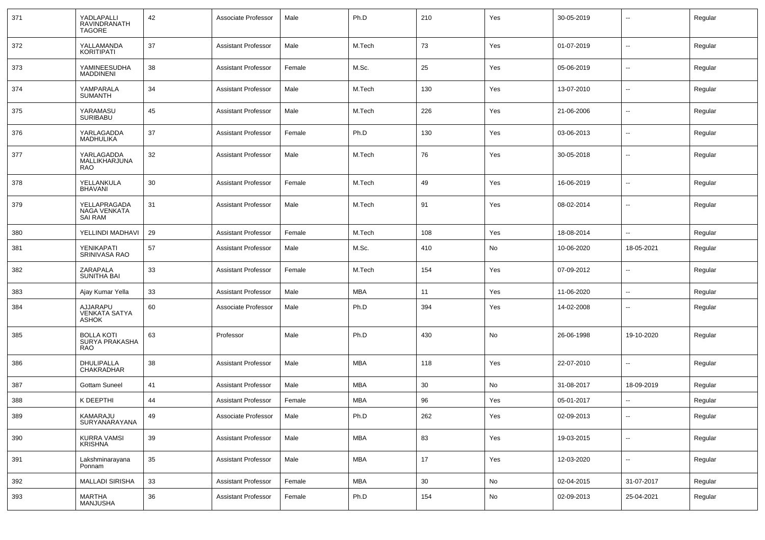| 371 | YADLAPALLI<br>RAVINDRANATH<br><b>TAGORE</b>       | 42 | Associate Professor        | Male   | Ph.D       | 210 | Yes | 30-05-2019 |                          | Regular |
|-----|---------------------------------------------------|----|----------------------------|--------|------------|-----|-----|------------|--------------------------|---------|
| 372 | YALLAMANDA<br><b>KORITIPATI</b>                   | 37 | <b>Assistant Professor</b> | Male   | M.Tech     | 73  | Yes | 01-07-2019 | ⊷.                       | Regular |
| 373 | YAMINEESUDHA<br><b>MADDINENI</b>                  | 38 | <b>Assistant Professor</b> | Female | M.Sc.      | 25  | Yes | 05-06-2019 | $\overline{\phantom{a}}$ | Regular |
| 374 | YAMPARALA<br><b>SUMANTH</b>                       | 34 | <b>Assistant Professor</b> | Male   | M.Tech     | 130 | Yes | 13-07-2010 | ⊷.                       | Regular |
| 375 | YARAMASU<br><b>SURIBABU</b>                       | 45 | <b>Assistant Professor</b> | Male   | M.Tech     | 226 | Yes | 21-06-2006 | ⊷.                       | Regular |
| 376 | YARLAGADDA<br>MADHULIKA                           | 37 | <b>Assistant Professor</b> | Female | Ph.D       | 130 | Yes | 03-06-2013 | $\overline{\phantom{a}}$ | Regular |
| 377 | YARLAGADDA<br>MALLIKHARJUNA<br><b>RAO</b>         | 32 | <b>Assistant Professor</b> | Male   | M.Tech     | 76  | Yes | 30-05-2018 | $\overline{\phantom{a}}$ | Regular |
| 378 | YELLANKULA<br><b>BHAVANI</b>                      | 30 | <b>Assistant Professor</b> | Female | M.Tech     | 49  | Yes | 16-06-2019 | $\overline{\phantom{a}}$ | Regular |
| 379 | YELLAPRAGADA<br>NAGA VENKATA<br>SAI RAM           | 31 | <b>Assistant Professor</b> | Male   | M.Tech     | 91  | Yes | 08-02-2014 | $\overline{\phantom{a}}$ | Regular |
| 380 | YELLINDI MADHAVI                                  | 29 | <b>Assistant Professor</b> | Female | M.Tech     | 108 | Yes | 18-08-2014 | $\overline{a}$           | Regular |
| 381 | YENIKAPATI<br>SRINIVASA RAO                       | 57 | <b>Assistant Professor</b> | Male   | M.Sc.      | 410 | No  | 10-06-2020 | 18-05-2021               | Regular |
| 382 | ZARAPALA<br><b>SUNITHA BAI</b>                    | 33 | <b>Assistant Professor</b> | Female | M.Tech     | 154 | Yes | 07-09-2012 | $\overline{\phantom{a}}$ | Regular |
| 383 | Ajay Kumar Yella                                  | 33 | <b>Assistant Professor</b> | Male   | <b>MBA</b> | 11  | Yes | 11-06-2020 | $\overline{\phantom{a}}$ | Regular |
| 384 | AJJARAPU<br><b>VENKATA SATYA</b><br><b>ASHOK</b>  | 60 | Associate Professor        | Male   | Ph.D       | 394 | Yes | 14-02-2008 | $\overline{\phantom{a}}$ | Regular |
| 385 | <b>BOLLA KOTI</b><br>SURYA PRAKASHA<br><b>RAO</b> | 63 | Professor                  | Male   | Ph.D       | 430 | No  | 26-06-1998 | 19-10-2020               | Regular |
| 386 | DHULIPALLA<br>CHAKRADHAR                          | 38 | <b>Assistant Professor</b> | Male   | MBA        | 118 | Yes | 22-07-2010 | --                       | Regular |
| 387 | Gottam Suneel                                     | 41 | <b>Assistant Professor</b> | Male   | <b>MBA</b> | 30  | No  | 31-08-2017 | 18-09-2019               | Regular |
| 388 | K DEEPTHI                                         | 44 | <b>Assistant Professor</b> | Female | MBA        | 96  | Yes | 05-01-2017 |                          | Regular |
| 389 | KAMARAJU<br>SURYANARAYANA                         | 49 | Associate Professor        | Male   | Ph.D       | 262 | Yes | 02-09-2013 | н.                       | Regular |
| 390 | <b>KURRA VAMSI</b><br><b>KRISHNA</b>              | 39 | <b>Assistant Professor</b> | Male   | <b>MBA</b> | 83  | Yes | 19-03-2015 | $\sim$                   | Regular |
| 391 | Lakshminarayana<br>Ponnam                         | 35 | <b>Assistant Professor</b> | Male   | <b>MBA</b> | 17  | Yes | 12-03-2020 | $\sim$                   | Regular |
| 392 | <b>MALLADI SIRISHA</b>                            | 33 | <b>Assistant Professor</b> | Female | <b>MBA</b> | 30  | No  | 02-04-2015 | 31-07-2017               | Regular |
| 393 | MARTHA<br>MANJUSHA                                | 36 | <b>Assistant Professor</b> | Female | Ph.D       | 154 | No  | 02-09-2013 | 25-04-2021               | Regular |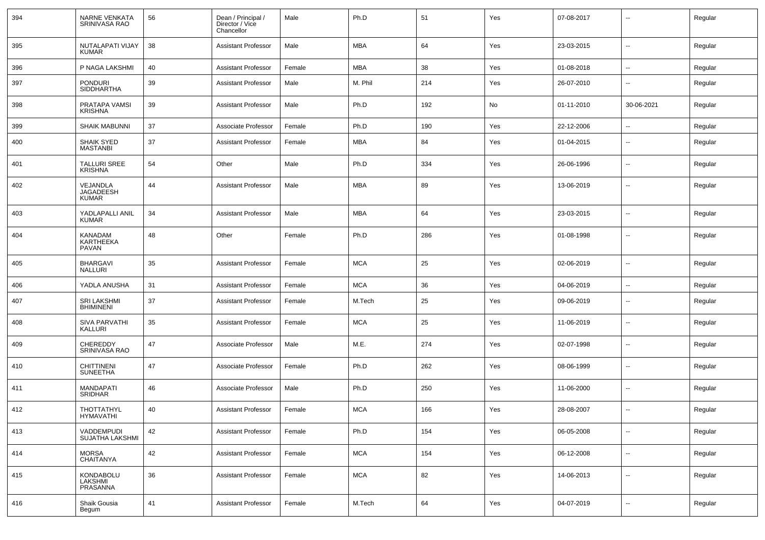| 394 | <b>NARNE VENKATA</b><br>SRINIVASA RAO        | 56 | Dean / Principal /<br>Director / Vice<br>Chancellor | Male   | Ph.D       | 51  | Yes | 07-08-2017 |                          | Regular |
|-----|----------------------------------------------|----|-----------------------------------------------------|--------|------------|-----|-----|------------|--------------------------|---------|
| 395 | NUTALAPATI VIJAY<br>KUMAR                    | 38 | <b>Assistant Professor</b>                          | Male   | <b>MBA</b> | 64  | Yes | 23-03-2015 | $\overline{\phantom{a}}$ | Regular |
| 396 | P NAGA LAKSHMI                               | 40 | <b>Assistant Professor</b>                          | Female | MBA        | 38  | Yes | 01-08-2018 | $\overline{\phantom{a}}$ | Regular |
| 397 | <b>PONDURI</b><br>SIDDHARTHA                 | 39 | <b>Assistant Professor</b>                          | Male   | M. Phil    | 214 | Yes | 26-07-2010 | $\overline{\phantom{a}}$ | Regular |
| 398 | PRATAPA VAMSI<br><b>KRISHNA</b>              | 39 | <b>Assistant Professor</b>                          | Male   | Ph.D       | 192 | No  | 01-11-2010 | 30-06-2021               | Regular |
| 399 | <b>SHAIK MABUNNI</b>                         | 37 | Associate Professor                                 | Female | Ph.D       | 190 | Yes | 22-12-2006 | $\overline{\phantom{a}}$ | Regular |
| 400 | <b>SHAIK SYED</b><br><b>MASTANBI</b>         | 37 | <b>Assistant Professor</b>                          | Female | <b>MBA</b> | 84  | Yes | 01-04-2015 | $\overline{\phantom{a}}$ | Regular |
| 401 | <b>TALLURI SREE</b><br><b>KRISHNA</b>        | 54 | Other                                               | Male   | Ph.D       | 334 | Yes | 26-06-1996 | $\overline{\phantom{a}}$ | Regular |
| 402 | VEJANDLA<br><b>JAGADEESH</b><br><b>KUMAR</b> | 44 | <b>Assistant Professor</b>                          | Male   | <b>MBA</b> | 89  | Yes | 13-06-2019 | $\overline{\phantom{a}}$ | Regular |
| 403 | YADLAPALLI ANIL<br>KUMAR                     | 34 | <b>Assistant Professor</b>                          | Male   | <b>MBA</b> | 64  | Yes | 23-03-2015 | --                       | Regular |
| 404 | KANADAM<br><b>KARTHEEKA</b><br>PAVAN         | 48 | Other                                               | Female | Ph.D       | 286 | Yes | 01-08-1998 | --                       | Regular |
| 405 | <b>BHARGAVI</b><br>NALLURI                   | 35 | <b>Assistant Professor</b>                          | Female | <b>MCA</b> | 25  | Yes | 02-06-2019 | ⊷.                       | Regular |
| 406 | YADLA ANUSHA                                 | 31 | <b>Assistant Professor</b>                          | Female | <b>MCA</b> | 36  | Yes | 04-06-2019 | н.                       | Regular |
| 407 | <b>SRI LAKSHMI</b><br><b>BHIMINENI</b>       | 37 | <b>Assistant Professor</b>                          | Female | M.Tech     | 25  | Yes | 09-06-2019 | $\overline{\phantom{a}}$ | Regular |
| 408 | <b>SIVA PARVATHI</b><br>KALLURI              | 35 | <b>Assistant Professor</b>                          | Female | <b>MCA</b> | 25  | Yes | 11-06-2019 | н.                       | Regular |
| 409 | <b>CHEREDDY</b><br>SRINIVASA RAO             | 47 | Associate Professor                                 | Male   | M.E.       | 274 | Yes | 02-07-1998 | $\overline{\phantom{a}}$ | Regular |
| 410 | <b>CHITTINENI</b><br><b>SUNEETHA</b>         | 47 | Associate Professor                                 | Female | Ph.D       | 262 | Yes | 08-06-1999 | $\overline{\phantom{a}}$ | Regular |
| 411 | <b>MANDAPATI</b><br><b>SRIDHAR</b>           | 46 | Associate Professor                                 | Male   | Ph.D       | 250 | Yes | 11-06-2000 | ⊷.                       | Regular |
| 412 | <b>THOTTATHYL</b><br>HYMAVATHI               | 40 | <b>Assistant Professor</b>                          | Female | <b>MCA</b> | 166 | Yes | 28-08-2007 |                          | Regular |
| 413 | VADDEMPUDI<br>SUJATHA LAKSHMI                | 42 | <b>Assistant Professor</b>                          | Female | Ph.D       | 154 | Yes | 06-05-2008 | $\overline{\phantom{a}}$ | Regular |
| 414 | MORSA<br>CHAITANYA                           | 42 | <b>Assistant Professor</b>                          | Female | <b>MCA</b> | 154 | Yes | 06-12-2008 | $\overline{\phantom{a}}$ | Regular |
| 415 | KONDABOLU<br>LAKSHMI<br>PRASANNA             | 36 | <b>Assistant Professor</b>                          | Female | <b>MCA</b> | 82  | Yes | 14-06-2013 | $\overline{\phantom{a}}$ | Regular |
| 416 | Shaik Gousia<br>Begum                        | 41 | <b>Assistant Professor</b>                          | Female | M.Tech     | 64  | Yes | 04-07-2019 | н.                       | Regular |